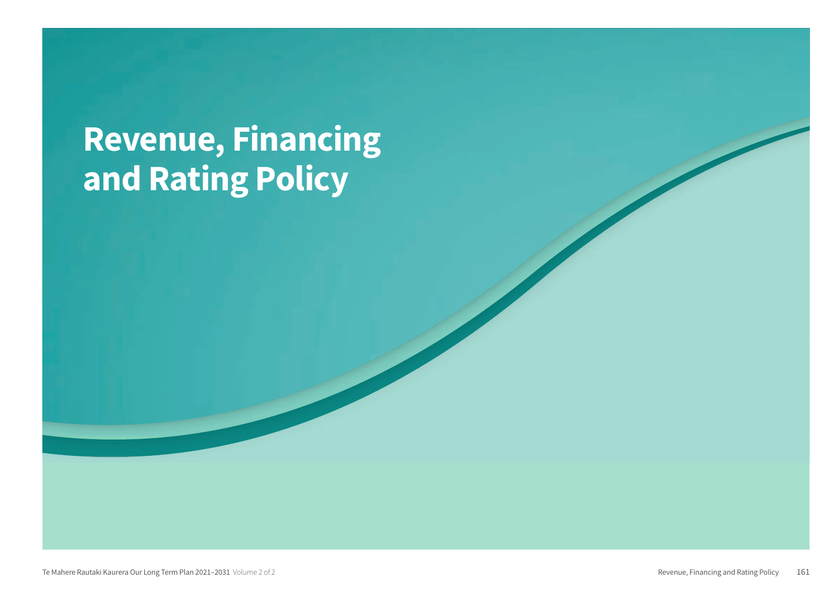# **Revenue, Financing** and Rating Policy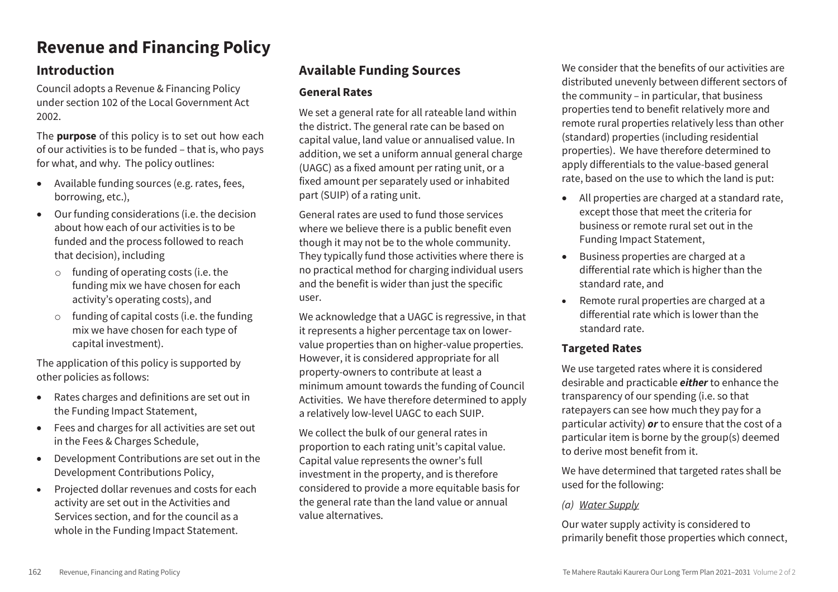# **Revenue and Financing Policy**

# **Introduction**

Council adopts a Revenue & Financing Policy under section 102 of the Local Government Act 2002.

The **purpose** of this policy is to set out how each of our activities is to be funded – that is, who pays for what, and why. The policy outlines:

- Available funding sources (e.g. rates, fees, borrowing, etc.),
- Our funding considerations (i.e. the decision about how each of our activities is to be funded and the process followed to reach that decision), including
	- o funding of operating costs (i.e. the funding mix we have chosen for each activity's operating costs), and
	- o funding of capital costs (i.e. the funding mix we have chosen for each type of capital investment).

The application of this policy is supported by other policies as follows:

- Rates charges and definitions are set out in the Funding Impact Statement,
- Fees and charges for all activities are set out in the Fees & Charges Schedule,
- Development Contributions are set out in the Development Contributions Policy,
- Projected dollar revenues and costs for each activity are set out in the Activities and Services section, and for the council as a whole in the Funding Impact Statement.

# **Available Funding Sources**

# **General Rates**

We set a general rate for all rateable land within the district. The general rate can be based on capital value, land value or annualised value. In addition, we set a uniform annual general charge (UAGC) as a fixed amount per rating unit, or a fixed amount per separately used or inhabited part (SUIP) of a rating unit.

General rates are used to fund those services where we believe there is a public benefit even though it may not be to the whole community. They typically fund those activities where there is no practical method for charging individual users and the benefit is wider than just the specific user.

We acknowledge that a UAGC is regressive, in that it represents a higher percentage tax on lowervalue properties than on higher-value properties. However, it is considered appropriate for all property-owners to contribute at least a minimum amount towards the funding of Council Activities. We have therefore determined to apply a relatively low-level UAGC to each SUIP.

We collect the bulk of our general rates in proportion to each rating unit's capital value. Capital value represents the owner's full investment in the property, and is therefore considered to provide a more equitable basis for the general rate than the land value or annual value alternatives.

We consider that the benefits of our activities are distributed unevenly between different sectors of the community – in particular, that business properties tend to benefit relatively more and remote rural properties relatively less than other (standard) properties (including residential properties). We have therefore determined to apply differentials to the value-based general rate, based on the use to which the land is put:

- All properties are charged at a standard rate, except those that meet the criteria for business or remote rural set out in the Funding Impact Statement,
- Business properties are charged at a differential rate which is higher than the standard rate, and
- Remote rural properties are charged at a differential rate which is lower than the standard rate.

# **Targeted Rates**

We use targeted rates where it is considered desirable and practicable *either* to enhance the transparency of our spending (i.e. so that ratepayers can see how much they pay for a particular activity) *or* to ensure that the cost of a particular item is borne by the group(s) deemed to derive most benefit from it.

We have determined that targeted rates shall be used for the following:

# *(a) Water Supply*

Our water supply activity is considered to primarily benefit those properties which connect,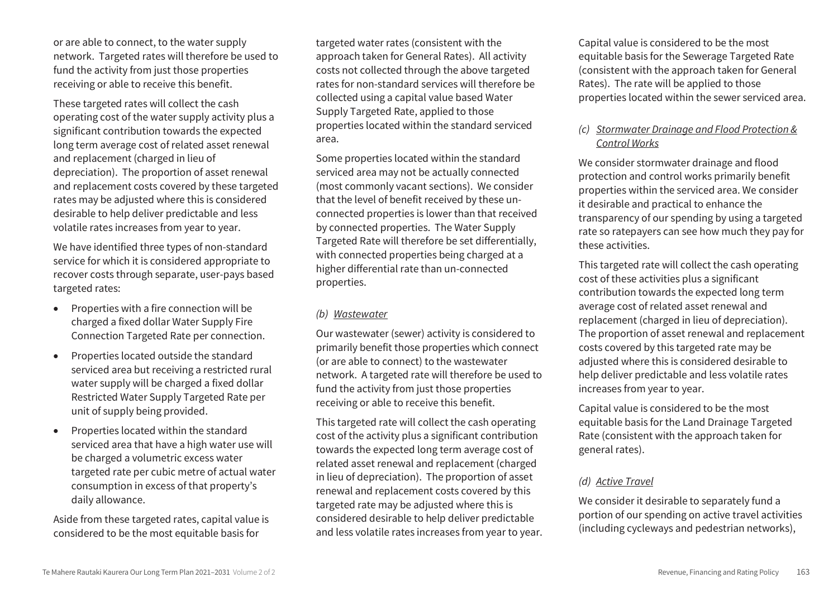or are able to connect, to the water supply network. Targeted rates will therefore be used to fund the activity from just those properties receiving or able to receive this benefit.

These targeted rates will collect the cash operating cost of the water supply activity plus a significant contribution towards the expected long term average cost of related asset renewal and replacement (charged in lieu of depreciation). The proportion of asset renewal and replacement costs covered by these targeted rates may be adjusted where this is considered desirable to help deliver predictable and less volatile rates increases from year to year.

We have identified three types of non-standard service for which it is considered appropriate to recover costs through separate, user-pays based targeted rates:

- Properties with a fire connection will be charged a fixed dollar Water Supply Fire Connection Targeted Rate per connection.
- Properties located outside the standard serviced area but receiving a restricted rural water supply will be charged a fixed dollar Restricted Water Supply Targeted Rate per unit of supply being provided.
- Properties located within the standard serviced area that have a high water use will be charged a volumetric excess water targeted rate per cubic metre of actual water consumption in excess of that property's daily allowance.

Aside from these targeted rates, capital value is considered to be the most equitable basis for

targeted water rates (consistent with the approach taken for General Rates). All activity costs not collected through the above targeted rates for non-standard services will therefore be collected using a capital value based Water Supply Targeted Rate, applied to those properties located within the standard serviced area.

Some properties located within the standard serviced area may not be actually connected (most commonly vacant sections). We consider that the level of benefit received by these unconnected properties is lower than that received by connected properties. The Water Supply Targeted Rate will therefore be set differentially, with connected properties being charged at a higher differential rate than un-connected properties.

## *(b) Wastewater*

Our wastewater (sewer) activity is considered to primarily benefit those properties which connect (or are able to connect) to the wastewater network. A targeted rate will therefore be used to fund the activity from just those properties receiving or able to receive this benefit.

This targeted rate will collect the cash operating cost of the activity plus a significant contribution towards the expected long term average cost of related asset renewal and replacement (charged in lieu of depreciation). The proportion of asset renewal and replacement costs covered by this targeted rate may be adjusted where this is considered desirable to help deliver predictable and less volatile rates increases from year to year.

Capital value is considered to be the most equitable basis for the Sewerage Targeted Rate (consistent with the approach taken for General Rates). The rate will be applied to those properties located within the sewer serviced area.

# *(c) Stormwater Drainage and Flood Protection & Control Works*

We consider stormwater drainage and flood protection and control works primarily benefit properties within the serviced area. We consider it desirable and practical to enhance the transparency of our spending by using a targeted rate so ratepayers can see how much they pay for these activities.

This targeted rate will collect the cash operating cost of these activities plus a significant contribution towards the expected long term average cost of related asset renewal and replacement (charged in lieu of depreciation). The proportion of asset renewal and replacement costs covered by this targeted rate may be adjusted where this is considered desirable to help deliver predictable and less volatile rates increases from year to year.

Capital value is considered to be the most equitable basis for the Land Drainage Targeted Rate (consistent with the approach taken for general rates).

# *(d) Active Travel*

We consider it desirable to separately fund a portion of our spending on active travel activities (including cycleways and pedestrian networks),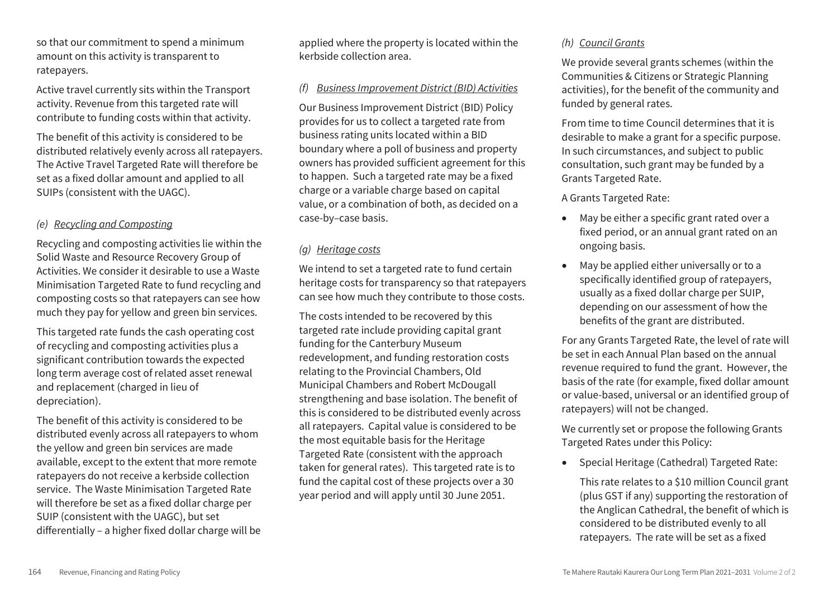so that our commitment to spend a minimum amount on this activity is transparent to ratepayers.

Active travel currently sits within the Transport activity. Revenue from this targeted rate will contribute to funding costs within that activity.

The benefit of this activity is considered to be distributed relatively evenly across all ratepayers. The Active Travel Targeted Rate will therefore be set as a fixed dollar amount and applied to all SUIPs (consistent with the UAGC).

# *(e) Recycling and Composting*

Recycling and composting activities lie within the Solid Waste and Resource Recovery Group of Activities. We consider it desirable to use a Waste Minimisation Targeted Rate to fund recycling and composting costs so that ratepayers can see how much they pay for yellow and green bin services.

This targeted rate funds the cash operating cost of recycling and composting activities plus a significant contribution towards the expected long term average cost of related asset renewal and replacement (charged in lieu of depreciation).

The benefit of this activity is considered to be distributed evenly across all ratepayers to whom the yellow and green bin services are made available, except to the extent that more remote ratepayers do not receive a kerbside collection service. The Waste Minimisation Targeted Rate will therefore be set as a fixed dollar charge per SUIP (consistent with the UAGC), but set differentially – a higher fixed dollar charge will be applied where the property is located within the kerbside collection area.

# *(f) Business Improvement District (BID) Activities*

Our Business Improvement District (BID) Policy provides for us to collect a targeted rate from business rating units located within a BID boundary where a poll of business and property owners has provided sufficient agreement for this to happen. Such a targeted rate may be a fixed charge or a variable charge based on capital value, or a combination of both, as decided on a case-by–case basis.

# *(g) Heritage costs*

We intend to set a targeted rate to fund certain heritage costs for transparency so that ratepayers can see how much they contribute to those costs.

The costs intended to be recovered by this targeted rate include providing capital grant funding for the Canterbury Museum redevelopment, and funding restoration costs relating to the Provincial Chambers, Old Municipal Chambers and Robert McDougall strengthening and base isolation. The benefit of this is considered to be distributed evenly across all ratepayers. Capital value is considered to be the most equitable basis for the Heritage Targeted Rate (consistent with the approach taken for general rates). This targeted rate is to fund the capital cost of these projects over a 30 year period and will apply until 30 June 2051.

# *(h) Council Grants*

We provide several grants schemes (within the Communities & Citizens or Strategic Planning activities), for the benefit of the community and funded by general rates.

From time to time Council determines that it is desirable to make a grant for a specific purpose. In such circumstances, and subject to public consultation, such grant may be funded by a Grants Targeted Rate.

A Grants Targeted Rate:

- May be either a specific grant rated over a fixed period, or an annual grant rated on an ongoing basis.
- May be applied either universally or to a specifically identified group of ratepayers, usually as a fixed dollar charge per SUIP, depending on our assessment of how the benefits of the grant are distributed.

For any Grants Targeted Rate, the level of rate will be set in each Annual Plan based on the annual revenue required to fund the grant. However, the basis of the rate (for example, fixed dollar amount or value-based, universal or an identified group of ratepayers) will not be changed.

We currently set or propose the following Grants Targeted Rates under this Policy:

• Special Heritage (Cathedral) Targeted Rate:

This rate relates to a \$10 million Council grant (plus GST if any) supporting the restoration of the Anglican Cathedral, the benefit of which is considered to be distributed evenly to all ratepayers. The rate will be set as a fixed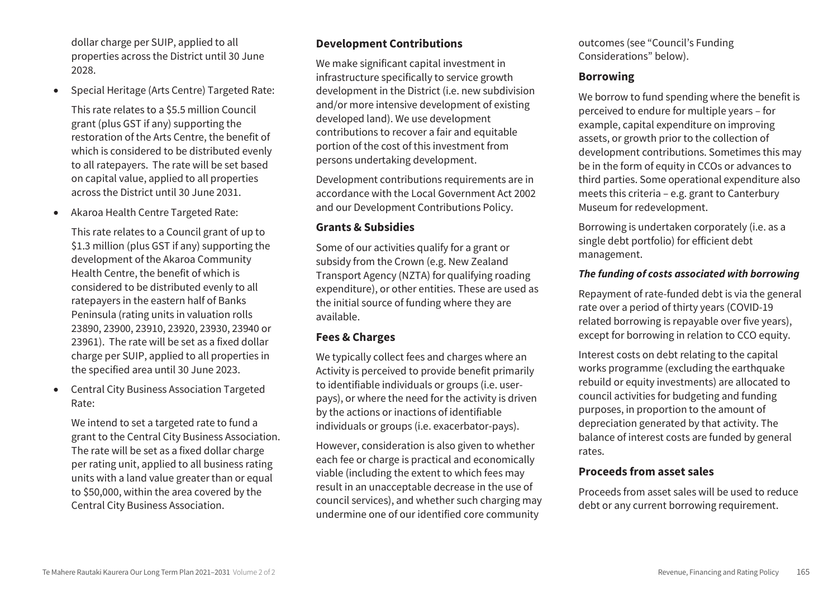dollar charge per SUIP, applied to all properties across the District until 30 June 2028.

Special Heritage (Arts Centre) Targeted Rate:

This rate relates to a \$5.5 million Council grant (plus GST if any) supporting the restoration of the Arts Centre, the benefit of which is considered to be distributed evenly to all ratepayers. The rate will be set based on capital value, applied to all properties across the District until 30 June 2031.

Akaroa Health Centre Targeted Rate:

This rate relates to a Council grant of up to \$1.3 million (plus GST if any) supporting the development of the Akaroa Community Health Centre, the benefit of which is considered to be distributed evenly to all ratepayers in the eastern half of Banks Peninsula (rating units in valuation rolls 23890, 23900, 23910, 23920, 23930, 23940 or 23961). The rate will be set as a fixed dollar charge per SUIP, applied to all properties in the specified area until 30 June 2023.

 Central City Business Association Targeted Rate:

We intend to set a targeted rate to fund a grant to the Central City Business Association. The rate will be set as a fixed dollar charge per rating unit, applied to all business rating units with a land value greater than or equal to \$50,000, within the area covered by the Central City Business Association.

# **Development Contributions**

We make significant capital investment in infrastructure specifically to service growth development in the District (i.e. new subdivision and/or more intensive development of existing developed land). We use development contributions to recover a fair and equitable portion of the cost of this investment from persons undertaking development.

Development contributions requirements are in accordance with the Local Government Act 2002 and our Development Contributions Policy.

# **Grants & Subsidies**

Some of our activities qualify for a grant or subsidy from the Crown (e.g. New Zealand Transport Agency (NZTA) for qualifying roading expenditure), or other entities. These are used as the initial source of funding where they are available.

# **Fees & Charges**

We typically collect fees and charges where an Activity is perceived to provide benefit primarily to identifiable individuals or groups (i.e. userpays), or where the need for the activity is driven by the actions or inactions of identifiable individuals or groups (i.e. exacerbator-pays).

However, consideration is also given to whether each fee or charge is practical and economically viable (including the extent to which fees may result in an unacceptable decrease in the use of council services), and whether such charging may undermine one of our identified core community

outcomes (see "Council's Funding Considerations" below).

# **Borrowing**

We borrow to fund spending where the benefit is perceived to endure for multiple years – for example, capital expenditure on improving assets, or growth prior to the collection of development contributions. Sometimes this may be in the form of equity in CCOs or advances to third parties. Some operational expenditure also meets this criteria – e.g. grant to Canterbury Museum for redevelopment.

Borrowing is undertaken corporately (i.e. as a single debt portfolio) for efficient debt management.

# *The funding of costs associated with borrowing*

Repayment of rate-funded debt is via the general rate over a period of thirty years (COVID-19 related borrowing is repayable over five years), except for borrowing in relation to CCO equity.

Interest costs on debt relating to the capital works programme (excluding the earthquake rebuild or equity investments) are allocated to council activities for budgeting and funding purposes, in proportion to the amount of depreciation generated by that activity. The balance of interest costs are funded by general rates.

# **Proceeds from asset sales**

Proceeds from asset sales will be used to reduce debt or any current borrowing requirement.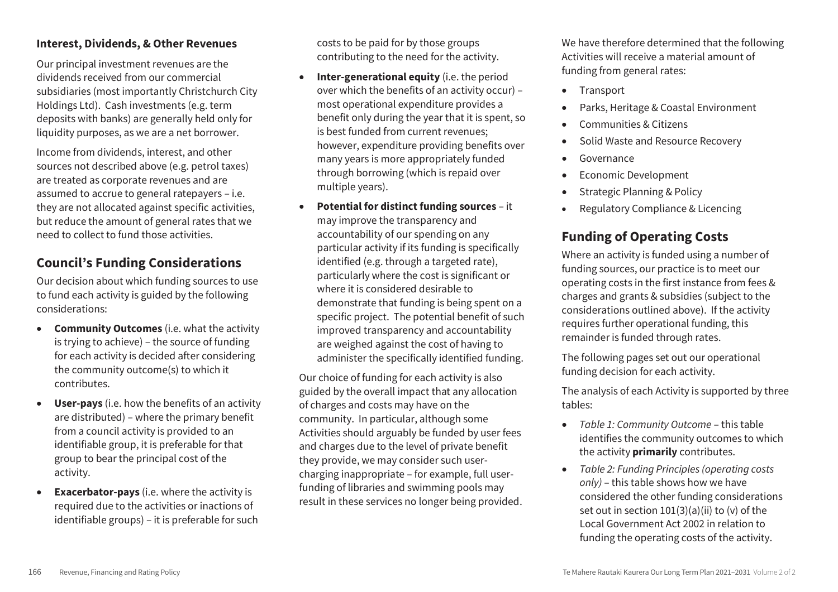## **Interest, Dividends, & Other Revenues**

Our principal investment revenues are the dividends received from our commercial subsidiaries (most importantly Christchurch City Holdings Ltd). Cash investments (e.g. term deposits with banks) are generally held only for liquidity purposes, as we are a net borrower.

Income from dividends, interest, and other sources not described above (e.g. petrol taxes) are treated as corporate revenues and are assumed to accrue to general ratepayers – i.e. they are not allocated against specific activities, but reduce the amount of general rates that we need to collect to fund those activities.

# **Council's Funding Considerations**

Our decision about which funding sources to use to fund each activity is guided by the following considerations:

- **Community Outcomes** (i.e. what the activity is trying to achieve) – the source of funding for each activity is decided after considering the community outcome(s) to which it contributes.
- **User-pays** (i.e. how the benefits of an activity are distributed) – where the primary benefit from a council activity is provided to an identifiable group, it is preferable for that group to bear the principal cost of the activity.
- **Exacerbator-pays** (i.e. where the activity is required due to the activities or inactions of identifiable groups) – it is preferable for such

costs to be paid for by those groups contributing to the need for the activity.

- **Inter-generational equity** (i.e. the period over which the benefits of an activity occur) – most operational expenditure provides a benefit only during the year that it is spent, so is best funded from current revenues; however, expenditure providing benefits over many years is more appropriately funded through borrowing (which is repaid over multiple years).
- **Potential for distinct funding sources** it may improve the transparency and accountability of our spending on any particular activity if its funding is specifically identified (e.g. through a targeted rate), particularly where the cost is significant or where it is considered desirable to demonstrate that funding is being spent on a specific project. The potential benefit of such improved transparency and accountability are weighed against the cost of having to administer the specifically identified funding.

Our choice of funding for each activity is also guided by the overall impact that any allocation of charges and costs may have on the community. In particular, although some Activities should arguably be funded by user fees and charges due to the level of private benefit they provide, we may consider such usercharging inappropriate – for example, full userfunding of libraries and swimming pools may result in these services no longer being provided. We have therefore determined that the following Activities will receive a material amount of funding from general rates:

- Transport
- Parks, Heritage & Coastal Environment
- Communities & Citizens
- Solid Waste and Resource Recovery
- Governance
- Economic Development
- Strategic Planning & Policy
- Regulatory Compliance & Licencing

# **Funding of Operating Costs**

Where an activity is funded using a number of funding sources, our practice is to meet our operating costs in the first instance from fees & charges and grants & subsidies (subject to the considerations outlined above). If the activity requires further operational funding, this remainder is funded through rates.

The following pages set out our operational funding decision for each activity.

The analysis of each Activity is supported by three tables:

- *Table 1: Community Outcome* this table identifies the community outcomes to which the activity **primarily** contributes.
- *Table 2: Funding Principles (operating costs only)* – this table shows how we have considered the other funding considerations set out in section  $101(3)(a)(ii)$  to (v) of the Local Government Act 2002 in relation to funding the operating costs of the activity.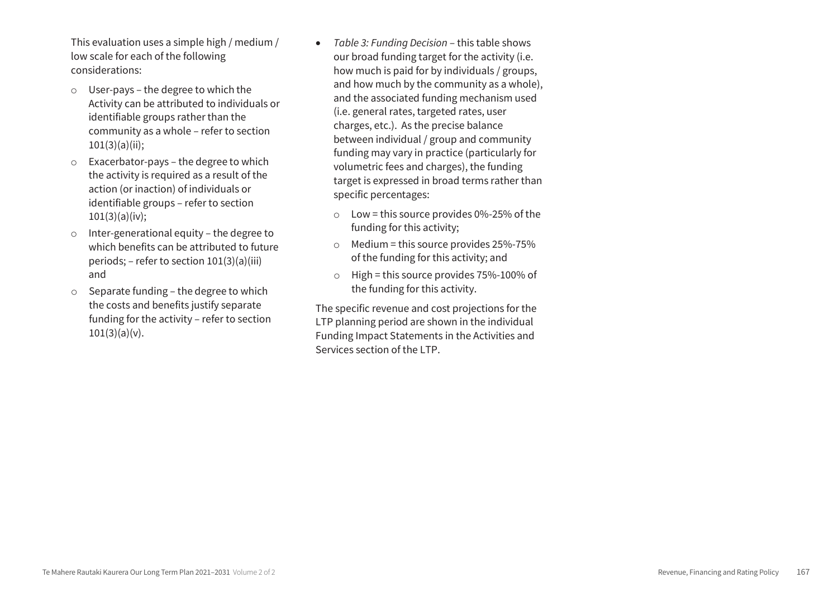This evaluation uses a simple high / medium / low scale for each of the following considerations:

- o User-pays the degree to which the Activity can be attributed to individuals or identifiable groups rather than the community as a whole – refer to section  $101(3)(a)(ii)$ ;
- o Exacerbator-pays the degree to which the activity is required as a result of the action (or inaction) of individuals or identifiable groups – refer to section  $101(3)(a)(iv);$
- o Inter-generational equity the degree to which benefits can be attributed to future periods; – refer to section 101(3)(a)(iii) and
- o Separate funding the degree to which the costs and benefits justify separate funding for the activity – refer to section  $101(3)(a)(v)$ .
- *Table 3: Funding Decision* this table shows our broad funding target for the activity (i.e. how much is paid for by individuals / groups, and how much by the community as a whole), and the associated funding mechanism used (i.e. general rates, targeted rates, user charges, etc.). As the precise balance between individual / group and community funding may vary in practice (particularly for volumetric fees and charges), the funding target is expressed in broad terms rather than specific percentages:
	- $\circ$  Low = this source provides 0%-25% of the funding for this activity;
	- $\circ$  Medium = this source provides 25%-75% of the funding for this activity; and
	- $\circ$  High = this source provides 75%-100% of the funding for this activity.

The specific revenue and cost projections for the LTP planning period are shown in the individual Funding Impact Statements in the Activities and Services section of the LTP.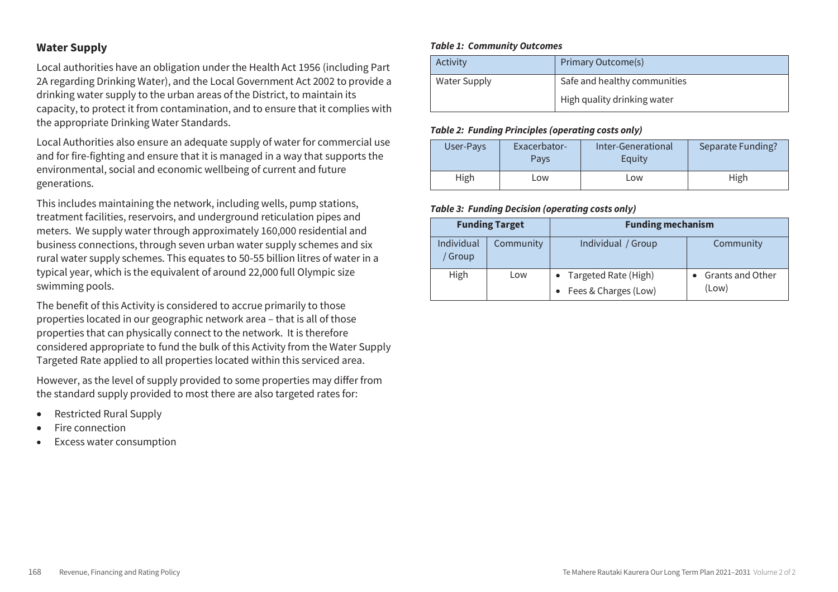## **Water Supply**

Local authorities have an obligation under the Health Act 1956 (including Part 2A regarding Drinking Water), and the Local Government Act 2002 to provide a drinking water supply to the urban areas of the District, to maintain its capacity, to protect it from contamination, and to ensure that it complies with the appropriate Drinking Water Standards.

Local Authorities also ensure an adequate supply of water for commercial use and for fire-fighting and ensure that it is managed in a way that supports the environmental, social and economic wellbeing of current and future generations.

This includes maintaining the network, including wells, pump stations, treatment facilities, reservoirs, and underground reticulation pipes and meters. We supply water through approximately 160,000 residential and business connections, through seven urban water supply schemes and six rural water supply schemes. This equates to 50-55 billion litres of water in a typical year, which is the equivalent of around 22,000 full Olympic size swimming pools.

The benefit of this Activity is considered to accrue primarily to those properties located in our geographic network area – that is all of those properties that can physically connect to the network. It is therefore considered appropriate to fund the bulk of this Activity from the Water Supply Targeted Rate applied to all properties located within this serviced area.

However, as the level of supply provided to some properties may differ from the standard supply provided to most there are also targeted rates for:

- Restricted Rural Supply
- Fire connection
- Excess water consumption

#### *Table 1: Community Outcomes*

| Activity            | Primary Outcome(s)           |
|---------------------|------------------------------|
| <b>Water Supply</b> | Safe and healthy communities |
|                     | High quality drinking water  |

#### *Table 2: Funding Principles (operating costs only)*

| User-Pays | Exacerbator-<br>Pavs | Inter-Generational<br>Equity | Separate Funding? |
|-----------|----------------------|------------------------------|-------------------|
| High      | Low                  | Low                          | High              |

| <b>Funding Target</b>            |     | <b>Funding mechanism</b>                       |                           |
|----------------------------------|-----|------------------------------------------------|---------------------------|
| Individual<br>Community<br>Group |     | Individual / Group                             | Community                 |
| High                             | Low | • Targeted Rate (High)<br>Fees & Charges (Low) | Grants and Other<br>(Low) |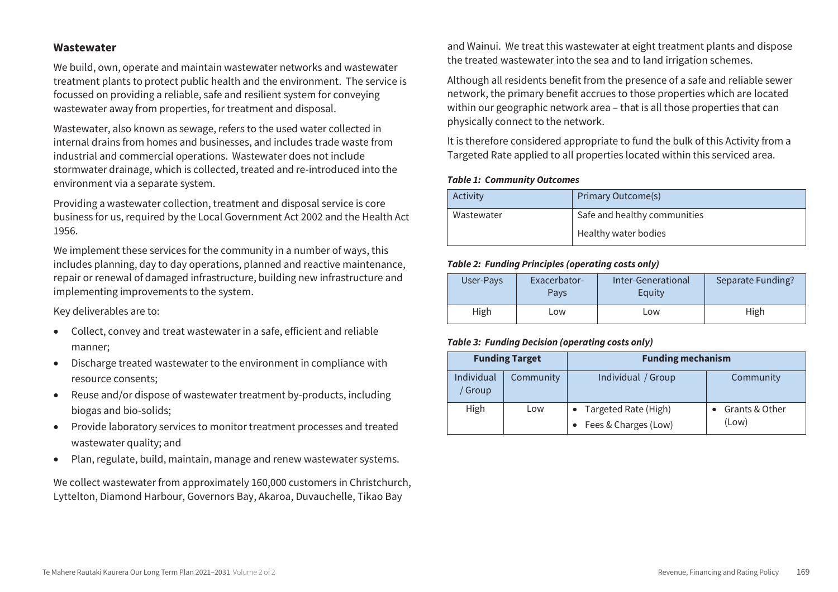#### **Wastewater**

We build, own, operate and maintain wastewater networks and wastewater treatment plants to protect public health and the environment. The service is focussed on providing a reliable, safe and resilient system for conveying wastewater away from properties, for treatment and disposal.

Wastewater, also known as sewage, refers to the used water collected in internal drains from homes and businesses, and includes trade waste from industrial and commercial operations. Wastewater does not include stormwater drainage, which is collected, treated and re-introduced into the environment via a separate system.

Providing a wastewater collection, treatment and disposal service is core business for us, required by the Local Government Act 2002 and the Health Act 1956.

We implement these services for the community in a number of ways, this includes planning, day to day operations, planned and reactive maintenance, repair or renewal of damaged infrastructure, building new infrastructure and implementing improvements to the system.

Key deliverables are to:

- Collect, convey and treat wastewater in a safe, efficient and reliable manner;
- Discharge treated wastewater to the environment in compliance with resource consents;
- Reuse and/or dispose of wastewater treatment by-products, including biogas and bio-solids;
- Provide laboratory services to monitor treatment processes and treated wastewater quality; and
- Plan, regulate, build, maintain, manage and renew wastewater systems.

We collect wastewater from approximately 160,000 customers in Christchurch, Lyttelton, Diamond Harbour, Governors Bay, Akaroa, Duvauchelle, Tikao Bay

and Wainui. We treat this wastewater at eight treatment plants and dispose the treated wastewater into the sea and to land irrigation schemes.

Although all residents benefit from the presence of a safe and reliable sewer network, the primary benefit accrues to those properties which are located within our geographic network area – that is all those properties that can physically connect to the network.

It is therefore considered appropriate to fund the bulk of this Activity from a Targeted Rate applied to all properties located within this serviced area.

#### *Table 1: Community Outcomes*

| Activity   | Primary Outcome(s)           |
|------------|------------------------------|
| Wastewater | Safe and healthy communities |
|            | Healthy water bodies         |

#### *Table 2: Funding Principles (operating costs only)*

| User-Pays | Exacerbator-<br>Pavs | Inter-Generational<br>Equity | Separate Funding? |
|-----------|----------------------|------------------------------|-------------------|
| High      | LOW.                 | Low                          | High              |

| <b>Funding Target</b>      |           | <b>Funding mechanism</b>                         |                         |
|----------------------------|-----------|--------------------------------------------------|-------------------------|
| Individual<br><b>Group</b> | Community | Individual / Group                               | Community               |
| High<br>Low                |           | • Targeted Rate (High)<br>• Fees & Charges (Low) | Grants & Other<br>(Low) |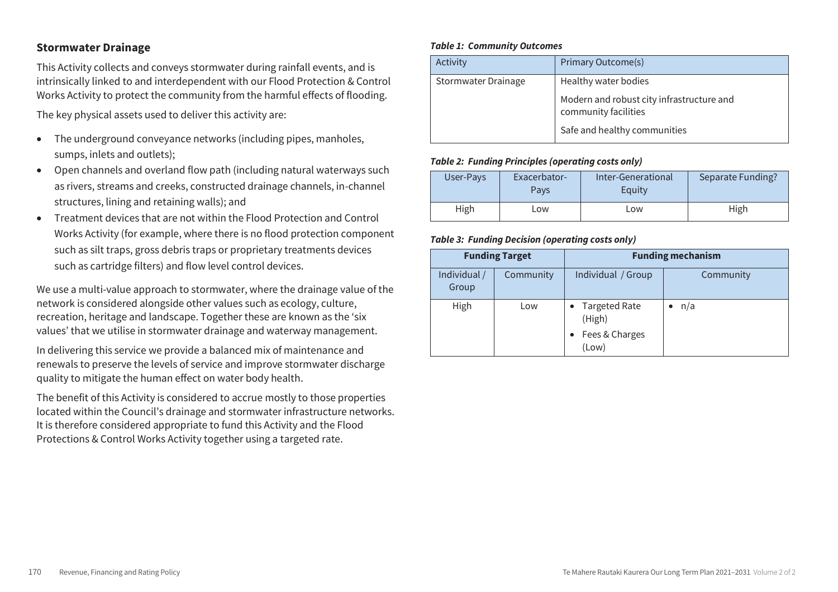## **Stormwater Drainage**

This Activity collects and conveys stormwater during rainfall events, and is intrinsically linked to and interdependent with our Flood Protection & Control Works Activity to protect the community from the harmful effects of flooding.

The key physical assets used to deliver this activity are:

- The underground conveyance networks (including pipes, manholes, sumps, inlets and outlets);
- Open channels and overland flow path (including natural waterways such as rivers, streams and creeks, constructed drainage channels, in-channel structures, lining and retaining walls); and
- Treatment devices that are not within the Flood Protection and Control Works Activity (for example, where there is no flood protection component such as silt traps, gross debris traps or proprietary treatments devices such as cartridge filters) and flow level control devices.

We use a multi-value approach to stormwater, where the drainage value of the network is considered alongside other values such as ecology, culture, recreation, heritage and landscape. Together these are known as the 'six values' that we utilise in stormwater drainage and waterway management.

In delivering this service we provide a balanced mix of maintenance and renewals to preserve the levels of service and improve stormwater discharge quality to mitigate the human effect on water body health.

The benefit of this Activity is considered to accrue mostly to those properties located within the Council's drainage and stormwater infrastructure networks. It is therefore considered appropriate to fund this Activity and the Flood Protections & Control Works Activity together using a targeted rate.

#### *Table 1: Community Outcomes*

| Activity            | Primary Outcome(s)                                                |
|---------------------|-------------------------------------------------------------------|
| Stormwater Drainage | Healthy water bodies                                              |
|                     | Modern and robust city infrastructure and<br>community facilities |
|                     | Safe and healthy communities                                      |

#### *Table 2: Funding Principles (operating costs only)*

| User-Pays | Exacerbator-<br>Pavs | Inter-Generational<br>Equity | Separate Funding? |
|-----------|----------------------|------------------------------|-------------------|
| High      | ∟ow                  | Low                          | High              |

| <b>Funding Target</b> |           | <b>Funding mechanism</b>                             |           |
|-----------------------|-----------|------------------------------------------------------|-----------|
| Individual /<br>Group | Community | Individual / Group                                   | Community |
| High                  | Low       | • Targeted Rate<br>(High)<br>Fees & Charges<br>(Low) | n/a       |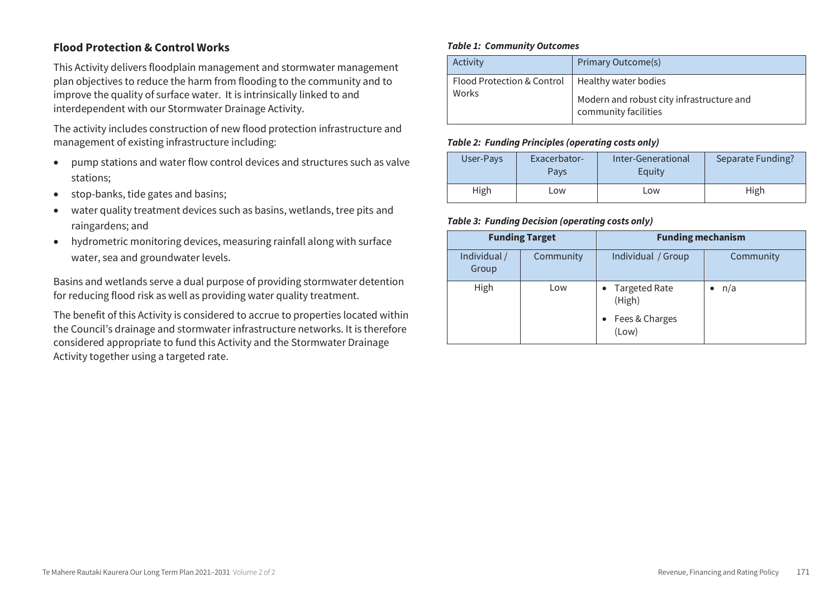# **Flood Protection & Control Works**

This Activity delivers floodplain management and stormwater management plan objectives to reduce the harm from flooding to the community and to improve the quality of surface water. It is intrinsically linked to and interdependent with our Stormwater Drainage Activity.

The activity includes construction of new flood protection infrastructure and management of existing infrastructure including:

- pump stations and water flow control devices and structures such as valve stations;
- stop-banks, tide gates and basins;
- water quality treatment devices such as basins, wetlands, tree pits and raingardens; and
- hydrometric monitoring devices, measuring rainfall along with surface water, sea and groundwater levels.

Basins and wetlands serve a dual purpose of providing stormwater detention for reducing flood risk as well as providing water quality treatment.

The benefit of this Activity is considered to accrue to properties located within the Council's drainage and stormwater infrastructure networks. It is therefore considered appropriate to fund this Activity and the Stormwater Drainage Activity together using a targeted rate.

#### *Table 1: Community Outcomes*

| Activity                                          | <b>Primary Outcome(s)</b>                 |
|---------------------------------------------------|-------------------------------------------|
| Flood Protection & Control   Healthy water bodies | Modern and robust city infrastructure and |
| Works                                             | community facilities                      |

#### *Table 2: Funding Principles (operating costs only)*

| User-Pays | Exacerbator-<br>Pavs | Inter-Generational<br>Equity | Separate Funding? |
|-----------|----------------------|------------------------------|-------------------|
| High      | Low                  | Low                          | High              |

| <b>Funding Target</b> |           | <b>Funding mechanism</b>  |           |
|-----------------------|-----------|---------------------------|-----------|
| Individual /<br>Group | Community | Individual / Group        | Community |
| High                  | Low       | • Targeted Rate<br>(High) | n/a       |
|                       |           | Fees & Charges<br>(Low)   |           |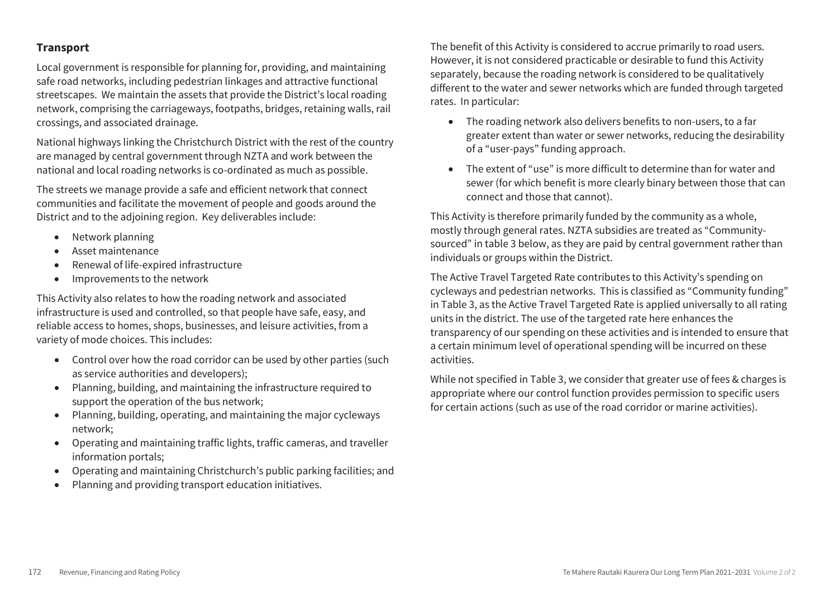# **Transport**

Local government is responsible for planning for, providing, and maintaining safe road networks, including pedestrian linkages and attractive functional streetscapes. We maintain the assets that provide the District's local roading network, comprising the carriageways, footpaths, bridges, retaining walls, rail crossings, and associated drainage.

National highways linking the Christchurch District with the rest of the country are managed by central government through NZTA and work between the national and local roading networks is co-ordinated as much as possible.

The streets we manage provide a safe and efficient network that connect communities and facilitate the movement of people and goods around the District and to the adjoining region. Key deliverables include:

- Network planning
- Asset maintenance
- Renewal of life-expired infrastructure
- Improvements to the network

This Activity also relates to how the roading network and associated infrastructure is used and controlled, so that people have safe, easy, and reliable access to homes, shops, businesses, and leisure activities, from a variety of mode choices. This includes:

- Control over how the road corridor can be used by other parties (such as service authorities and developers);
- Planning, building, and maintaining the infrastructure required to support the operation of the bus network;
- Planning, building, operating, and maintaining the major cycleways network;
- Operating and maintaining traffic lights, traffic cameras, and traveller information portals;
- Operating and maintaining Christchurch's public parking facilities; and
- Planning and providing transport education initiatives.

The benefit of this Activity is considered to accrue primarily to road users. However, it is not considered practicable or desirable to fund this Activity separately, because the roading network is considered to be qualitatively different to the water and sewer networks which are funded through targeted rates. In particular:

- The roading network also delivers benefits to non-users, to a far greater extent than water or sewer networks, reducing the desirability of a "user-pays" funding approach.
- The extent of "use" is more difficult to determine than for water and sewer (for which benefit is more clearly binary between those that can connect and those that cannot).

This Activity is therefore primarily funded by the community as a whole, mostly through general rates. NZTA subsidies are treated as "Communitysourced" in table 3 below, as they are paid by central government rather than individuals or groups within the District.

The Active Travel Targeted Rate contributes to this Activity's spending on cycleways and pedestrian networks. This is classified as "Community funding" in Table 3, as the Active Travel Targeted Rate is applied universally to all rating units in the district. The use of the targeted rate here enhances the transparency of our spending on these activities and is intended to ensure that a certain minimum level of operational spending will be incurred on these activities.

While not specified in Table 3, we consider that greater use of fees & charges is appropriate where our control function provides permission to specific users for certain actions (such as use of the road corridor or marine activities).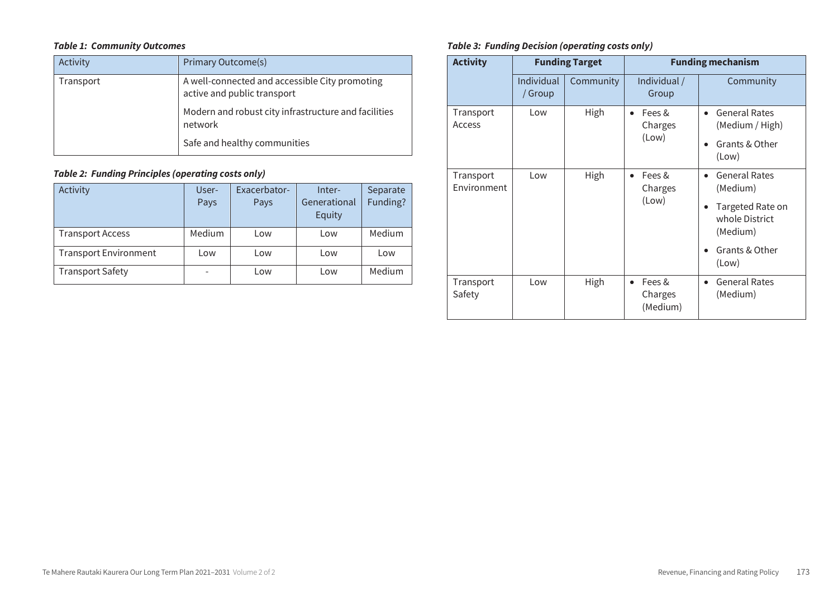## *Table 1: Community Outcomes*

| Activity  | Primary Outcome(s)                                                            |
|-----------|-------------------------------------------------------------------------------|
| Transport | A well-connected and accessible City promoting<br>active and public transport |
|           | Modern and robust city infrastructure and facilities<br>network               |
|           | Safe and healthy communities                                                  |

# *Table 2: Funding Principles (operating costs only)*

| Activity                     | User-<br>Pays | Exacerbator-<br>Pays | Inter-<br>Generational<br>Equity | Separate<br>Funding? |
|------------------------------|---------------|----------------------|----------------------------------|----------------------|
| <b>Transport Access</b>      | Medium        | Low                  | Low                              | Medium               |
| <b>Transport Environment</b> | Low           | Low                  | Low                              | Low                  |
| <b>Transport Safety</b>      |               | Low                  | Low                              | Medium               |

| <b>Activity</b>          |                       | <b>Funding Target</b> | <b>Funding mechanism</b>                   |                                                                                                                            |  |
|--------------------------|-----------------------|-----------------------|--------------------------------------------|----------------------------------------------------------------------------------------------------------------------------|--|
|                          | Individual<br>/ Group | Community             | Individual /<br>Group                      | Community                                                                                                                  |  |
| Transport<br>Access      | Low                   | High                  | Fees &<br>$\bullet$<br>Charges<br>(Low)    | <b>General Rates</b><br>$\bullet$<br>(Medium / High)<br>Grants & Other<br>(Low)                                            |  |
| Transport<br>Environment | Low                   | High                  | Fees &<br>$\bullet$<br>Charges<br>(Low)    | <b>General Rates</b><br>$\bullet$<br>(Medium)<br>Targeted Rate on<br>whole District<br>(Medium)<br>Grants & Other<br>(Low) |  |
| Transport<br>Safety      | Low                   | High                  | Fees &<br>$\bullet$<br>Charges<br>(Medium) | <b>General Rates</b><br>(Medium)                                                                                           |  |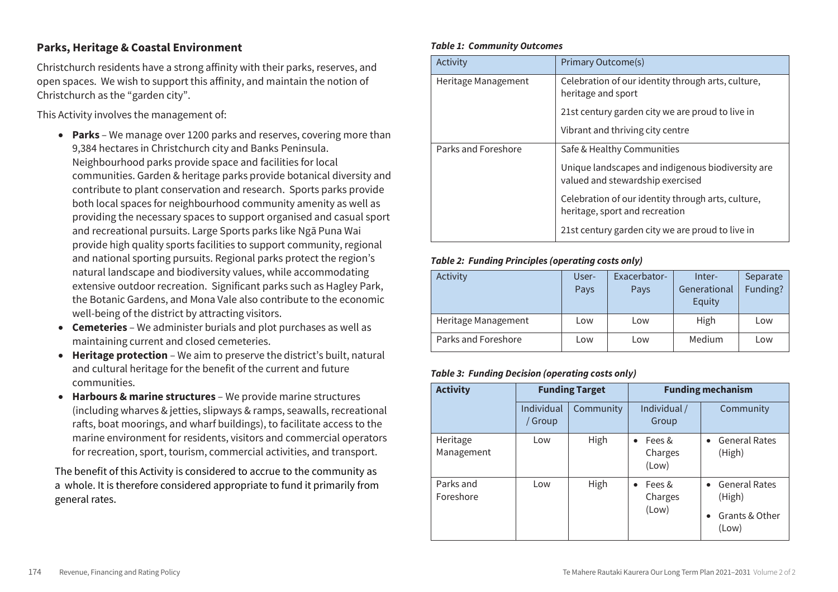# **Parks, Heritage & Coastal Environment**

Christchurch residents have a strong affinity with their parks, reserves, and open spaces. We wish to support this affinity, and maintain the notion of Christchurch as the "garden city".

This Activity involves the management of:

- **Parks** We manage over 1200 parks and reserves, covering more than 9,384 hectares in Christchurch city and Banks Peninsula. Neighbourhood parks provide space and facilities for local communities. Garden & heritage parks provide botanical diversity and contribute to plant conservation and research. Sports parks provide both local spaces for neighbourhood community amenity as well as providing the necessary spaces to support organised and casual sport and recreational pursuits. Large Sports parks like Ngā Puna Wai provide high quality sports facilities to support community, regional and national sporting pursuits. Regional parks protect the region's natural landscape and biodiversity values, while accommodating extensive outdoor recreation. Significant parks such as Hagley Park, the Botanic Gardens, and Mona Vale also contribute to the economic well-being of the district by attracting visitors.
- **Cemeteries** We administer burials and plot purchases as well as maintaining current and closed cemeteries.
- **Heritage protection** We aim to preserve the district's built, natural and cultural heritage for the benefit of the current and future communities.
- **Harbours & marine structures**  We provide marine structures (including wharves & jetties, slipways & ramps, seawalls, recreational rafts, boat moorings, and wharf buildings), to facilitate access to the marine environment for residents, visitors and commercial operators for recreation, sport, tourism, commercial activities, and transport.

The benefit of this Activity is considered to accrue to the community as whole. It is therefore considered appropriate to fund it primarily from a whole. It is therefore considered appropriate to fund it primarily from general rates. general rates.

#### *Table 1: Community Outcomes*

| Activity            | <b>Primary Outcome(s)</b>                                                             |
|---------------------|---------------------------------------------------------------------------------------|
| Heritage Management | Celebration of our identity through arts, culture,<br>heritage and sport              |
|                     | 21st century garden city we are proud to live in                                      |
|                     | Vibrant and thriving city centre                                                      |
| Parks and Foreshore | Safe & Healthy Communities                                                            |
|                     | Unique landscapes and indigenous biodiversity are<br>valued and stewardship exercised |
|                     | Celebration of our identity through arts, culture,<br>heritage, sport and recreation  |
|                     | 21st century garden city we are proud to live in                                      |

## *Table 2: Funding Principles (operating costs only)*

| Activity            | User- | Exacerbator- | Inter-       | Separate |
|---------------------|-------|--------------|--------------|----------|
|                     | Pays  | Pays         | Generational | Funding? |
|                     |       |              | Equity       |          |
| Heritage Management | Low   | Low          | High         | Low      |
| Parks and Foreshore | Low   | Low          | Medium       | Low      |

| <b>Activity</b>        | <b>Funding Target</b> |           | <b>Funding mechanism</b>                |                                                                   |  |
|------------------------|-----------------------|-----------|-----------------------------------------|-------------------------------------------------------------------|--|
|                        | Individual<br>/ Group | Community | Individual /<br>Group                   | Community                                                         |  |
| Heritage<br>Management | Low                   | High      | Fees &<br>$\bullet$<br>Charges<br>(Low) | • General Rates<br>(High)                                         |  |
| Parks and<br>Foreshore | Low                   | High      | Fees &<br>$\bullet$<br>Charges<br>(Low) | • General Rates<br>(High)<br>Grants & Other<br>$\bullet$<br>(Low) |  |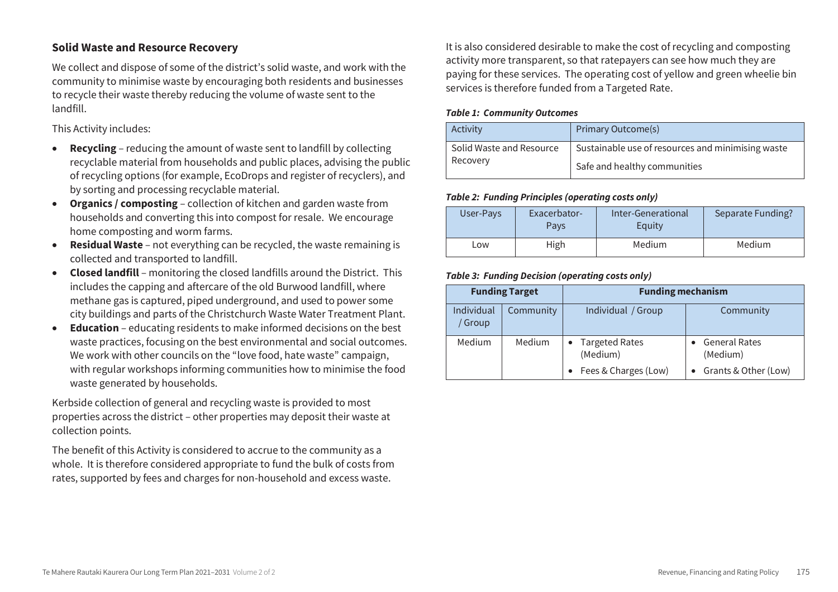# **Solid Waste and Resource Recovery**

We collect and dispose of some of the district's solid waste, and work with the community to minimise waste by encouraging both residents and businesses to recycle their waste thereby reducing the volume of waste sent to the landfill.

This Activity includes:

- **Recycling** reducing the amount of waste sent to landfill by collecting recyclable material from households and public places, advising the public of recycling options (for example, EcoDrops and register of recyclers), and by sorting and processing recyclable material.
- **Organics / composting** collection of kitchen and garden waste from households and converting this into compost for resale. We encourage home composting and worm farms.
- **Residual Waste**  not everything can be recycled, the waste remaining is collected and transported to landfill.
- **Closed landfill** monitoring the closed landfills around the District. This includes the capping and aftercare of the old Burwood landfill, where methane gas is captured, piped underground, and used to power some city buildings and parts of the Christchurch Waste Water Treatment Plant.
- **Education** educating residents to make informed decisions on the best waste practices, focusing on the best environmental and social outcomes. We work with other councils on the "love food, hate waste" campaign, with regular workshops informing communities how to minimise the food waste generated by households.

Kerbside collection of general and recycling waste is provided to most properties across the district – other properties may deposit their waste at collection points.

The benefit of this Activity is considered to accrue to the community as a whole. It is therefore considered appropriate to fund the bulk of costs from rates, supported by fees and charges for non-household and excess waste.

It is also considered desirable to make the cost of recycling and composting activity more transparent, so that ratepayers can see how much they are paying for these services. The operating cost of yellow and green wheelie bin services is therefore funded from a Targeted Rate.

#### *Table 1: Community Outcomes*

| Activity                 | <b>Primary Outcome(s)</b>                         |
|--------------------------|---------------------------------------------------|
| Solid Waste and Resource | Sustainable use of resources and minimising waste |
| Recovery                 | Safe and healthy communities                      |

#### *Table 2: Funding Principles (operating costs only)*

| User-Pays | Exacerbator-<br>Pays | Inter-Generational<br>Equity | Separate Funding? |
|-----------|----------------------|------------------------------|-------------------|
| LOW.      | High                 | Medium                       | Medium            |

|                       | <b>Funding Target</b> | <b>Funding mechanism</b>                             |                                                          |
|-----------------------|-----------------------|------------------------------------------------------|----------------------------------------------------------|
| Individual<br>' Group | Community             | Individual / Group                                   | Community                                                |
| Medium                | Medium                | • Targeted Rates<br>(Medium)<br>Fees & Charges (Low) | <b>General Rates</b><br>(Medium)<br>Grants & Other (Low) |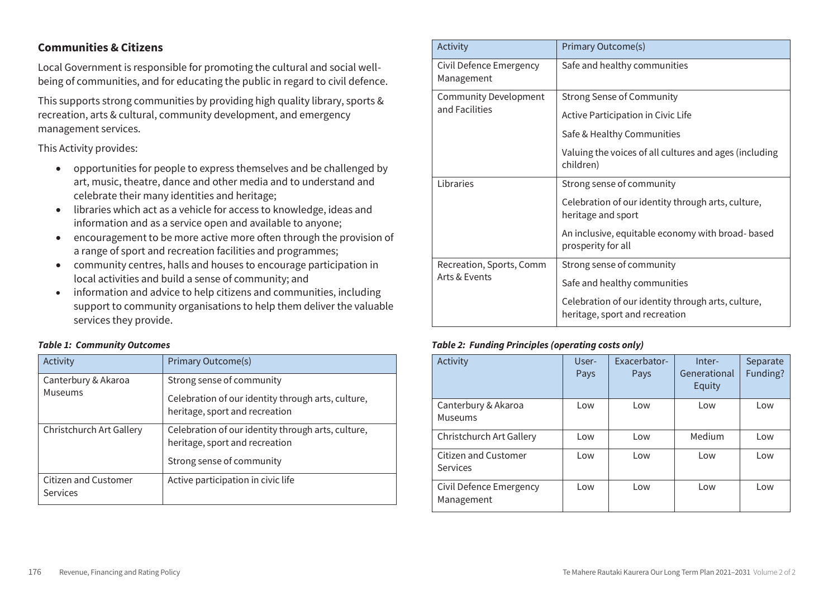## **Communities & Citizens**

Local Government is responsible for promoting the cultural and social wellbeing of communities, and for educating the public in regard to civil defence.

This supports strong communities by providing high quality library, sports & recreation, arts & cultural, community development, and emergency management services.

This Activity provides:

- opportunities for people to express themselves and be challenged by art, music, theatre, dance and other media and to understand and celebrate their many identities and heritage;
- libraries which act as a vehicle for access to knowledge, ideas and information and as a service open and available to anyone;
- encouragement to be more active more often through the provision of a range of sport and recreation facilities and programmes;
- community centres, halls and houses to encourage participation in local activities and build a sense of community; and
- information and advice to help citizens and communities, including support to community organisations to help them deliver the valuable services they provide.

#### *Table 1: Community Outcomes*

| Activity                                | Primary Outcome(s)                                                                                                |
|-----------------------------------------|-------------------------------------------------------------------------------------------------------------------|
| Canterbury & Akaroa<br>Museums          | Strong sense of community<br>Celebration of our identity through arts, culture,<br>heritage, sport and recreation |
| Christchurch Art Gallery                | Celebration of our identity through arts, culture,<br>heritage, sport and recreation<br>Strong sense of community |
| <b>Citizen and Customer</b><br>Services | Active participation in civic life                                                                                |

| Activity                                       | Primary Outcome(s)                                                                   |  |
|------------------------------------------------|--------------------------------------------------------------------------------------|--|
| Civil Defence Emergency<br>Management          | Safe and healthy communities                                                         |  |
| <b>Community Development</b><br>and Facilities | <b>Strong Sense of Community</b>                                                     |  |
|                                                | Active Participation in Civic Life                                                   |  |
|                                                | Safe & Healthy Communities                                                           |  |
|                                                | Valuing the voices of all cultures and ages (including<br>children)                  |  |
| Libraries                                      | Strong sense of community                                                            |  |
|                                                | Celebration of our identity through arts, culture,<br>heritage and sport             |  |
|                                                | An inclusive, equitable economy with broad-based<br>prosperity for all               |  |
| Recreation, Sports, Comm                       | Strong sense of community                                                            |  |
| Arts & Events                                  | Safe and healthy communities                                                         |  |
|                                                | Celebration of our identity through arts, culture,<br>heritage, sport and recreation |  |

#### *Table 2: Funding Principles (operating costs only)*

| Activity                                | User-<br>Pays | Exacerbator-<br>Pays | Inter-<br>Generational<br>Equity | Separate<br>Funding? |
|-----------------------------------------|---------------|----------------------|----------------------------------|----------------------|
| Canterbury & Akaroa<br>Museums          | Low           | Low                  | Low                              | Low                  |
| Christchurch Art Gallery                | Low           | Low                  | Medium                           | Low                  |
| <b>Citizen and Customer</b><br>Services | Low           | Low                  | Low                              | Low                  |
| Civil Defence Emergency<br>Management   | Low           | Low                  | Low                              | Low                  |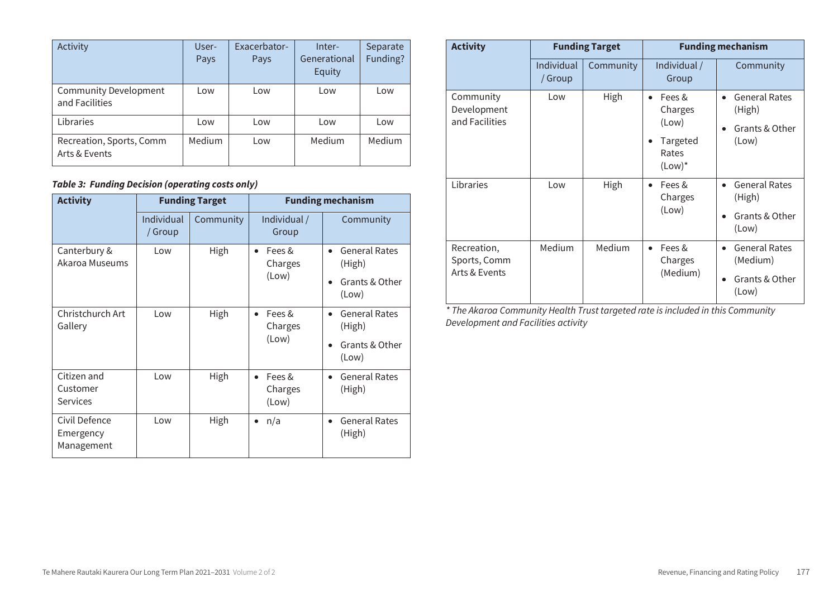| Activity                                       | User-<br>Pays | Exacerbator-<br>Pays | Inter-<br>Generational<br>Equity | Separate<br>Funding? |
|------------------------------------------------|---------------|----------------------|----------------------------------|----------------------|
| <b>Community Development</b><br>and Facilities | Low           | Low                  | Low                              | Low                  |
| Libraries                                      | Low           | Low                  | Low                              | Low                  |
| Recreation, Sports, Comm<br>Arts & Events      | Medium        | Low                  | Medium                           | Medium               |

# *Table 3: Funding Decision (operating costs only)*

| <b>Activity</b>                            | <b>Funding Target</b> |           | <b>Funding mechanism</b>                |                                             |
|--------------------------------------------|-----------------------|-----------|-----------------------------------------|---------------------------------------------|
|                                            | Individual<br>/ Group | Community | Individual /<br>Group                   | Community                                   |
| Canterbury &<br>Akaroa Museums             | Low                   | High      | Fees &<br>$\bullet$<br>Charges          | <b>General Rates</b><br>$\bullet$<br>(High) |
|                                            |                       |           | (Low)                                   | Grants & Other<br>(Low)                     |
| Christchurch Art<br>Gallery                | Low                   | High      | Fees &<br>$\bullet$<br>Charges          | <b>General Rates</b><br>(High)              |
|                                            |                       |           | (Low)                                   | Grants & Other<br>(Low)                     |
| Citizen and<br>Customer<br><b>Services</b> | Low                   | High      | Fees &<br>$\bullet$<br>Charges<br>(Low) | <b>General Rates</b><br>(High)              |
| Civil Defence<br>Emergency<br>Management   | Low                   | High      | n/a<br>$\bullet$                        | <b>General Rates</b><br>$\bullet$<br>(High) |

| <b>Activity</b>                              | <b>Funding Target</b> |           | <b>Funding mechanism</b>                                                  |                                                                        |  |
|----------------------------------------------|-----------------------|-----------|---------------------------------------------------------------------------|------------------------------------------------------------------------|--|
|                                              | Individual<br>/ Group | Community | Individual /<br>Group                                                     | Community                                                              |  |
| Community<br>Development<br>and Facilities   | Low                   | High      | Fees &<br>$\bullet$<br>Charges<br>(Low)<br>Targeted<br>Rates<br>$(Low)^*$ | <b>General Rates</b><br>$\bullet$<br>(High)<br>Grants & Other<br>(Low) |  |
| Libraries                                    | Low                   | High      | Fees &<br>$\bullet$<br>Charges<br>(Low)                                   | <b>General Rates</b><br>$\bullet$<br>(High)<br>Grants & Other<br>(Low) |  |
| Recreation,<br>Sports, Comm<br>Arts & Events | Medium                | Medium    | Fees &<br>$\bullet$<br>Charges<br>(Medium)                                | <b>General Rates</b><br>(Medium)<br>Grants & Other<br>(Low)            |  |

*\* The Akaroa Community Health Trust targeted rate is included in this Community Development and Facilities activity*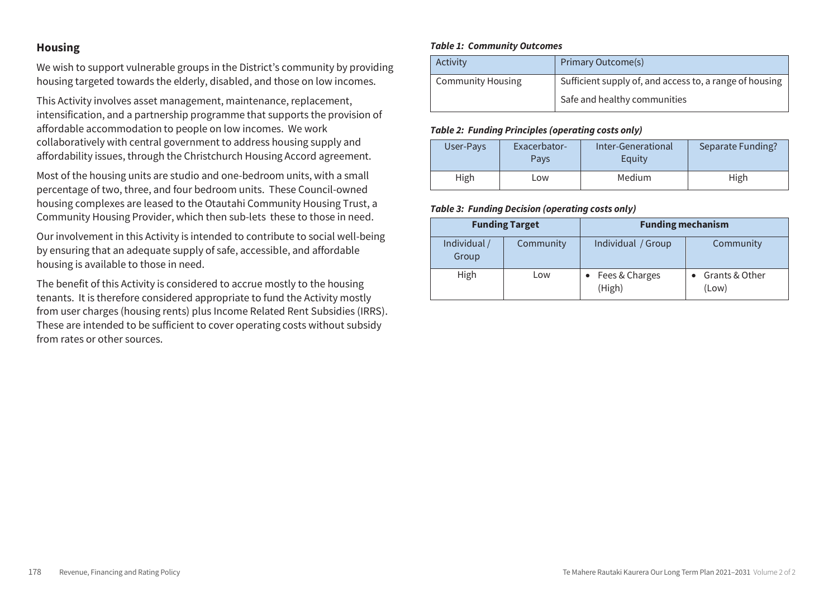# **Housing**

We wish to support vulnerable groups in the District's community by providing housing targeted towards the elderly, disabled, and those on low incomes.

This Activity involves asset management, maintenance, replacement, intensification, and a partnership programme that supports the provision of affordable accommodation to people on low incomes. We work collaboratively with central government to address housing supply and affordability issues, through the Christchurch Housing Accord agreement.

Most of the housing units are studio and one-bedroom units, with a small percentage of two, three, and four bedroom units. These Council-owned housing complexes are leased to the Otautahi Community Housing Trust, a Community Housing Provider, which then sub-lets these to those in need.

Our involvement in this Activity is intended to contribute to social well-being by ensuring that an adequate supply of safe, accessible, and affordable housing is available to those in need.

The benefit of this Activity is considered to accrue mostly to the housing tenants. It is therefore considered appropriate to fund the Activity mostly from user charges (housing rents) plus Income Related Rent Subsidies (IRRS). These are intended to be sufficient to cover operating costs without subsidy from rates or other sources.

#### *Table 1: Community Outcomes*

| Activity                 | <b>Primary Outcome(s)</b>                               |
|--------------------------|---------------------------------------------------------|
| <b>Community Housing</b> | Sufficient supply of, and access to, a range of housing |
|                          | Safe and healthy communities                            |

#### *Table 2: Funding Principles (operating costs only)*

| User-Pays | Exacerbator-<br>Pavs | Inter-Generational<br>Equity | Separate Funding? |
|-----------|----------------------|------------------------------|-------------------|
| High      | Low                  | Medium                       | High              |

|                       | <b>Funding Target</b> | <b>Funding mechanism</b> |                         |
|-----------------------|-----------------------|--------------------------|-------------------------|
| Individual /<br>Group | Community             | Individual / Group       | Community               |
| High                  | Low                   | Fees & Charges<br>(High) | Grants & Other<br>(Low) |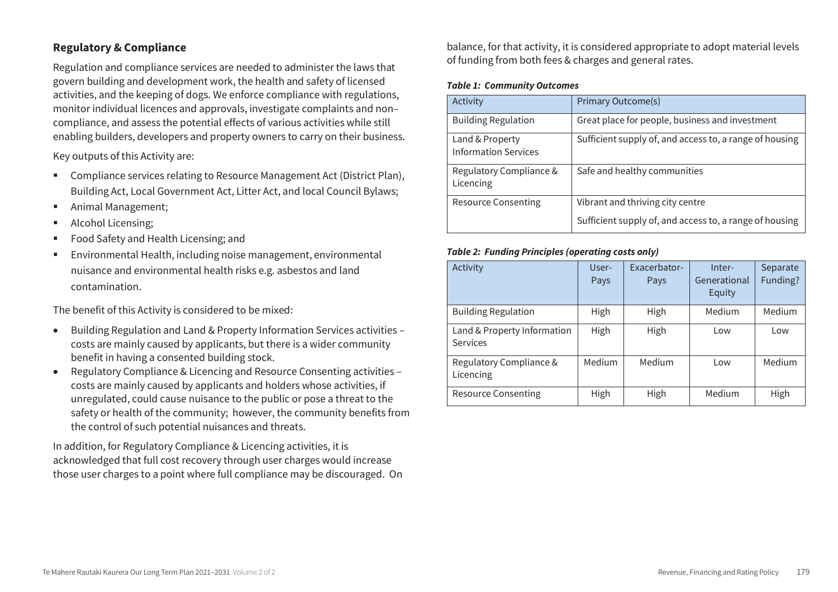# **Regulatory & Compliance**

Regulation and compliance services are needed to administer the laws that govern building and development work, the health and safety of licensed activities, and the keeping of dogs. We enforce compliance with regulations, monitor individual licences and approvals, investigate complaints and non– compliance, and assess the potential effects of various activities while still enabling builders, developers and property owners to carry on their business.

Key outputs of this Activity are:

- **EXECOMPLE 2** Compliance services relating to Resource Management Act (District Plan), Building Act, Local Government Act, Litter Act, and local Council Bylaws;
- Animal Management;
- Alcohol Licensing;
- Food Safety and Health Licensing; and
- Environmental Health, including noise management, environmental nuisance and environmental health risks e.g. asbestos and land contamination.

The benefit of this Activity is considered to be mixed:

- Building Regulation and Land & Property Information Services activities costs are mainly caused by applicants, but there is a wider community benefit in having a consented building stock.
- Regulatory Compliance & Licencing and Resource Consenting activities costs are mainly caused by applicants and holders whose activities, if unregulated, could cause nuisance to the public or pose a threat to the safety or health of the community; however, the community benefits from the control of such potential nuisances and threats.

In addition, for Regulatory Compliance & Licencing activities, it is acknowledged that full cost recovery through user charges would increase those user charges to a point where full compliance may be discouraged. On balance, for that activity, it is considered appropriate to adopt material levels of funding from both fees & charges and general rates.

#### *Table 1: Community Outcomes*

| Activity                                       | <b>Primary Outcome(s)</b>                               |
|------------------------------------------------|---------------------------------------------------------|
| <b>Building Regulation</b>                     | Great place for people, business and investment         |
| Land & Property<br><b>Information Services</b> | Sufficient supply of, and access to, a range of housing |
| Regulatory Compliance &<br>Licencing           | Safe and healthy communities                            |
| Resource Consenting                            | Vibrant and thriving city centre                        |
|                                                | Sufficient supply of, and access to, a range of housing |

#### *Table 2: Funding Principles (operating costs only)*

| Activity                                       | User-<br>Pays | Exacerbator-<br>Pays | Inter-<br>Generational<br>Equity | Separate<br>Funding? |
|------------------------------------------------|---------------|----------------------|----------------------------------|----------------------|
| <b>Building Regulation</b>                     | High          | High                 | Medium                           | Medium               |
| Land & Property Information<br><b>Services</b> | High          | High                 | Low                              | Low                  |
| Regulatory Compliance &<br>Licencing           | Medium        | Medium               | Low                              | Medium               |
| Resource Consenting                            | High          | High                 | Medium                           | High                 |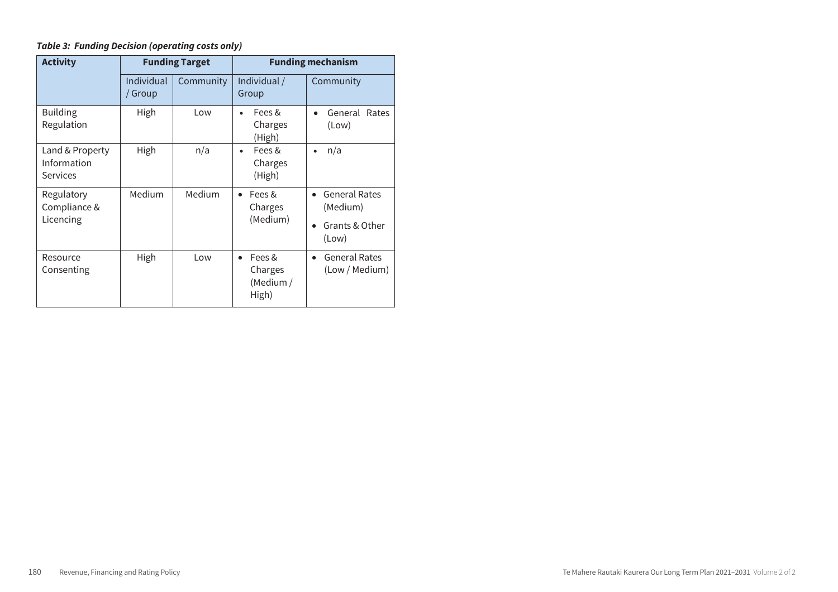| <b>Activity</b>                            | <b>Funding Target</b> |           | <b>Funding mechanism</b>                             |                                                             |  |
|--------------------------------------------|-----------------------|-----------|------------------------------------------------------|-------------------------------------------------------------|--|
|                                            | Individual<br>/ Group | Community | Individual /<br>Group                                | Community                                                   |  |
| <b>Building</b><br>Regulation              | High                  | Low       | Fees &<br>٠<br>Charges<br>(High)                     | General Rates<br>(Low)                                      |  |
| Land & Property<br>Information<br>Services | High                  | n/a       | Fees &<br>$\bullet$<br>Charges<br>(High)             | n/a<br>$\bullet$                                            |  |
| Regulatory<br>Compliance &<br>Licencing    | Medium                | Medium    | Fees &<br>$\bullet$<br>Charges<br>(Medium)           | <b>General Rates</b><br>(Medium)<br>Grants & Other<br>(Low) |  |
| Resource<br>Consenting                     | High                  | Low       | Fees &<br>$\bullet$<br>Charges<br>(Medium /<br>High) | <b>General Rates</b><br>(Low / Medium)                      |  |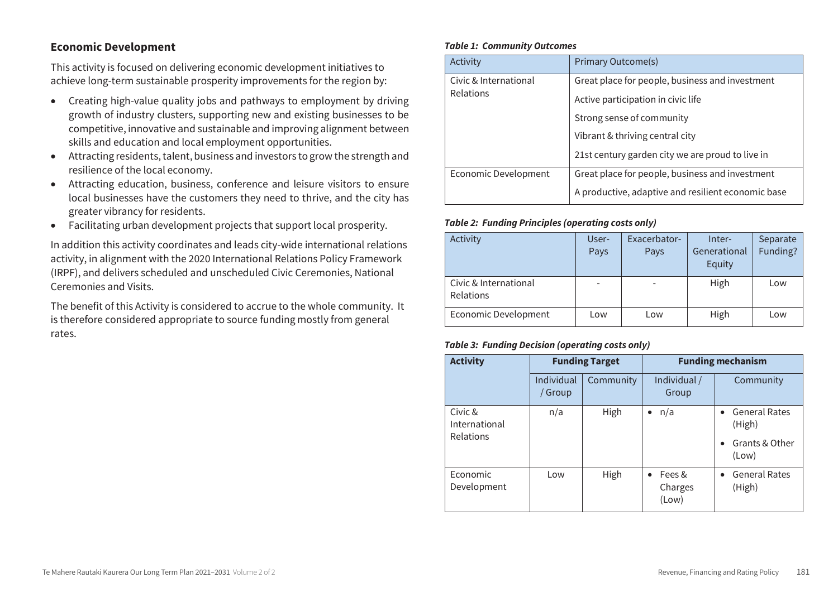# **Economic Development**

This activity is focused on delivering economic development initiatives to achieve long-term sustainable prosperity improvements for the region by:

- Creating high-value quality jobs and pathways to employment by driving growth of industry clusters, supporting new and existing businesses to be competitive, innovative and sustainable and improving alignment between skills and education and local employment opportunities.
- Attracting residents, talent, business and investors to grow the strength and resilience of the local economy.
- Attracting education, business, conference and leisure visitors to ensure local businesses have the customers they need to thrive, and the city has greater vibrancy for residents.
- Facilitating urban development projects that support local prosperity.

In addition this activity coordinates and leads city-wide international relations activity, in alignment with the 2020 International Relations Policy Framework (IRPF), and delivers scheduled and unscheduled Civic Ceremonies, National Ceremonies and Visits.

The benefit of this Activity is considered to accrue to the whole community. It is therefore considered appropriate to source funding mostly from general rates.

#### *Table 1: Community Outcomes*

| Activity              | Primary Outcome(s)                                           |  |
|-----------------------|--------------------------------------------------------------|--|
| Civic & International | Great place for people, business and investment              |  |
| <b>Relations</b>      | Active participation in civic life                           |  |
|                       | Strong sense of community<br>Vibrant & thriving central city |  |
|                       |                                                              |  |
|                       | 21st century garden city we are proud to live in             |  |
| Economic Development  | Great place for people, business and investment              |  |
|                       | A productive, adaptive and resilient economic base           |  |

#### *Table 2: Funding Principles (operating costs only)*

| Activity                                  | User-<br>Pays | Exacerbator-<br>Pays | Inter-<br>Generational<br>Equity | Separate<br>Funding? |
|-------------------------------------------|---------------|----------------------|----------------------------------|----------------------|
| Civic & International<br><b>Relations</b> |               |                      | High                             | Low                  |
| Economic Development                      | Low           | Low                  | High                             | Low                  |

| <b>Activity</b>          | <b>Funding Target</b> |           |                            | <b>Funding mechanism</b>                    |
|--------------------------|-----------------------|-----------|----------------------------|---------------------------------------------|
|                          | Individual<br>/ Group | Community | Individual /<br>Group      | Community                                   |
| Civic &<br>International | n/a                   | High      | n/a                        | <b>General Rates</b><br>$\bullet$<br>(High) |
| Relations                |                       |           |                            | Grants & Other<br>$\bullet$<br>(Low)        |
| Economic<br>Development  | Low                   | High      | Fees &<br>Charges<br>(Low) | <b>General Rates</b><br>$\bullet$<br>(High) |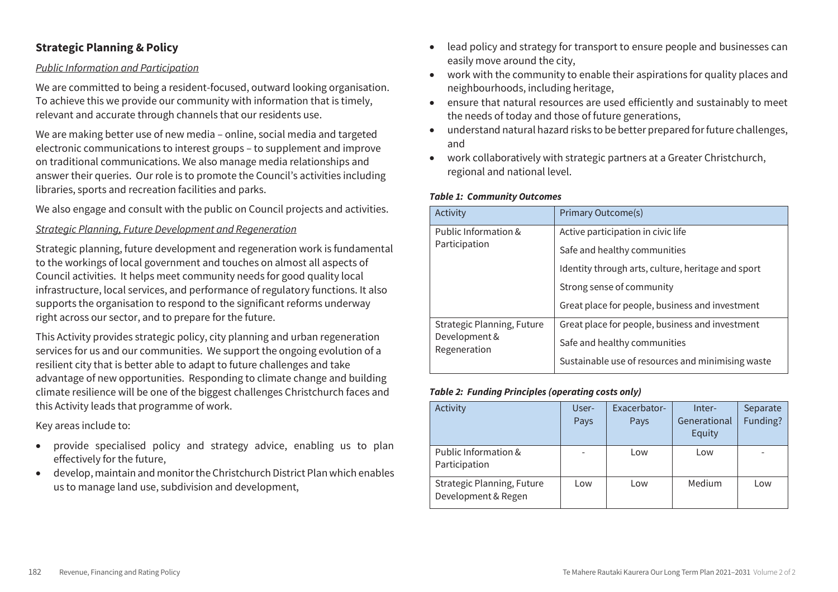# **Strategic Planning & Policy**

## *Public Information and Participation*

We are committed to being a resident-focused, outward looking organisation. To achieve this we provide our community with information that is timely, relevant and accurate through channels that our residents use.

We are making better use of new media – online, social media and targeted electronic communications to interest groups – to supplement and improve on traditional communications. We also manage media relationships and answer their queries. Our role is to promote the Council's activities including libraries, sports and recreation facilities and parks.

We also engage and consult with the public on Council projects and activities.

## *Strategic Planning, Future Development and Regeneration*

Strategic planning, future development and regeneration work is fundamental to the workings of local government and touches on almost all aspects of Council activities. It helps meet community needs for good quality local infrastructure, local services, and performance of regulatory functions. It also supports the organisation to respond to the significant reforms underway right across our sector, and to prepare for the future.

This Activity provides strategic policy, city planning and urban regeneration services for us and our communities. We support the ongoing evolution of a resilient city that is better able to adapt to future challenges and take advantage of new opportunities. Responding to climate change and building climate resilience will be one of the biggest challenges Christchurch faces and this Activity leads that programme of work.

Key areas include to:

- provide specialised policy and strategy advice, enabling us to plan effectively for the future,
- develop, maintain and monitor the Christchurch District Plan which enables us to manage land use, subdivision and development,
- lead policy and strategy for transport to ensure people and businesses can easily move around the city,
- work with the community to enable their aspirations for quality places and neighbourhoods, including heritage,
- ensure that natural resources are used efficiently and sustainably to meet the needs of today and those of future generations,
- understand natural hazard risks to be better prepared for future challenges, and
- work collaboratively with strategic partners at a Greater Christchurch, regional and national level.

#### *Table 1: Community Outcomes*

| Activity                                    | Primary Outcome(s)                                 |
|---------------------------------------------|----------------------------------------------------|
| Public Information &<br>Participation       | Active participation in civic life                 |
|                                             | Safe and healthy communities                       |
|                                             | Identity through arts, culture, heritage and sport |
|                                             | Strong sense of community                          |
|                                             | Great place for people, business and investment    |
| Strategic Planning, Future<br>Development & | Great place for people, business and investment    |
| Regeneration                                | Safe and healthy communities                       |
|                                             | Sustainable use of resources and minimising waste  |

#### *Table 2: Funding Principles (operating costs only)*

| Activity                   | User- | Exacerbator- | Inter-                 | Separate |
|----------------------------|-------|--------------|------------------------|----------|
|                            | Pays  | Pays         | Generational<br>Equity | Funding? |
|                            |       |              |                        |          |
| Public Information &       |       | Low          | Low                    |          |
| Participation              |       |              |                        |          |
| Strategic Planning, Future | Low   | Low          | Medium                 | Low      |
| Development & Regen        |       |              |                        |          |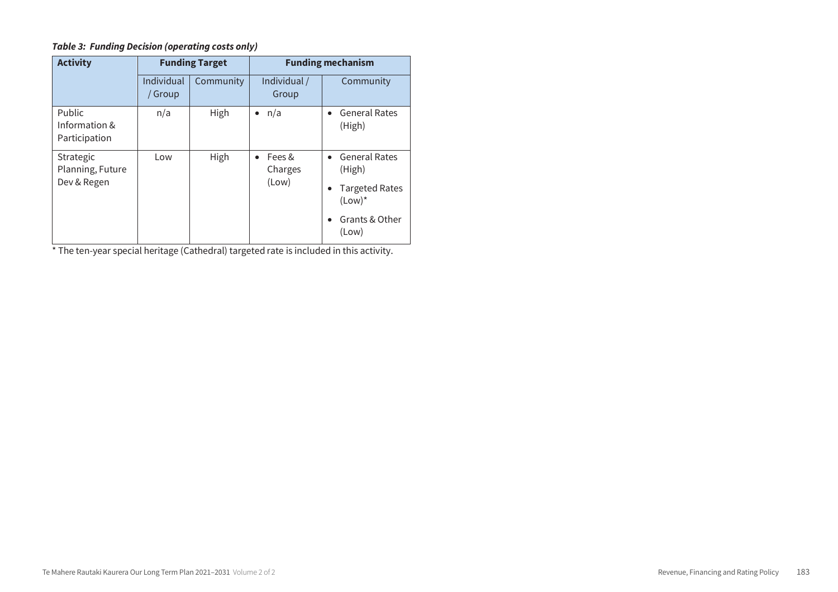## *Table 3: Funding Decision (operating costs only)*

| <b>Activity</b>                              | <b>Funding Target</b> |           | <b>Funding mechanism</b>                |                                                                                            |  |
|----------------------------------------------|-----------------------|-----------|-----------------------------------------|--------------------------------------------------------------------------------------------|--|
|                                              | Individual<br>/ Group | Community | Individual /<br>Group                   | Community                                                                                  |  |
| Public<br>Information &<br>Participation     | n/a                   | High      | $\bullet$ n/a                           | <b>General Rates</b><br>(High)                                                             |  |
| Strategic<br>Planning, Future<br>Dev & Regen | Low                   | High      | Fees &<br>$\bullet$<br>Charges<br>(Low) | • General Rates<br>(High)<br><b>Targeted Rates</b><br>$(Low)^*$<br>Grants & Other<br>(Low) |  |

\* The ten-year special heritage (Cathedral) targeted rate is included in this activity.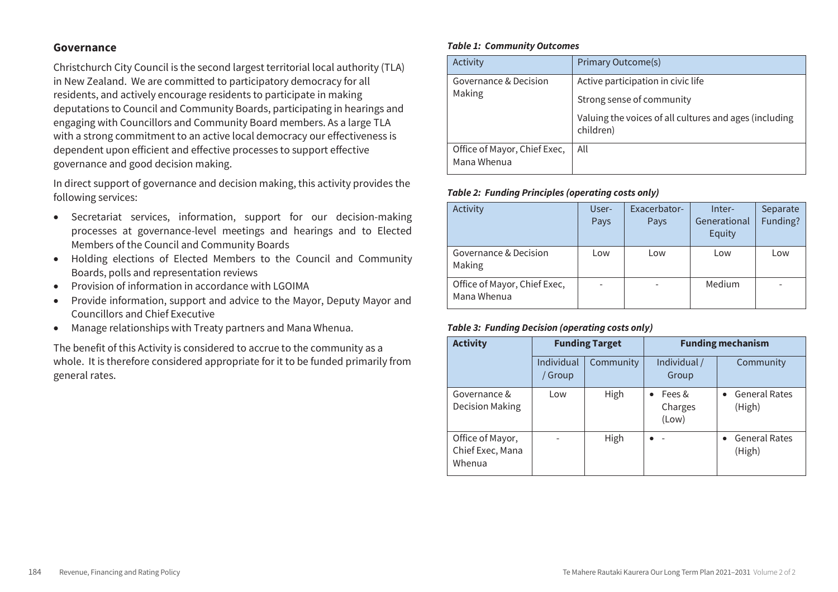## **Governance**

Christchurch City Council is the second largest territorial local authority (TLA) in New Zealand. We are committed to participatory democracy for all residents, and actively encourage residents to participate in making deputations to Council and Community Boards, participating in hearings and engaging with Councillors and Community Board members. As a large TLA with a strong commitment to an active local democracy our effectiveness is dependent upon efficient and effective processes to support effective governance and good decision making.

In direct support of governance and decision making, this activity provides the following services:

- Secretariat services, information, support for our decision-making processes at governance-level meetings and hearings and to Elected Members of the Council and Community Boards
- Holding elections of Elected Members to the Council and Community Boards, polls and representation reviews
- Provision of information in accordance with LGOIMA
- Provide information, support and advice to the Mayor, Deputy Mayor and Councillors and Chief Executive
- Manage relationships with Treaty partners and Mana Whenua.

The benefit of this Activity is considered to accrue to the community as a whole. It is therefore considered appropriate for it to be funded primarily from general rates.

#### *Table 1: Community Outcomes*

| Activity                                    | <b>Primary Outcome(s)</b>                                           |  |  |
|---------------------------------------------|---------------------------------------------------------------------|--|--|
| Governance & Decision<br>Making             | Active participation in civic life<br>Strong sense of community     |  |  |
|                                             | Valuing the voices of all cultures and ages (including<br>children) |  |  |
| Office of Mayor, Chief Exec,<br>Mana Whenua | All                                                                 |  |  |

#### *Table 2: Funding Principles (operating costs only)*

| Activity                                    | User-<br>Pays | Exacerbator-<br>Pays | Inter-<br>Generational<br>Equity | Separate<br>Funding? |
|---------------------------------------------|---------------|----------------------|----------------------------------|----------------------|
| Governance & Decision<br>Making             | Low           | Low                  | Low                              | Low                  |
| Office of Mayor, Chief Exec,<br>Mana Whenua |               |                      | Medium                           |                      |

| <b>Activity</b>                                | <b>Funding Target</b> |           | <b>Funding mechanism</b>                |                                |  |
|------------------------------------------------|-----------------------|-----------|-----------------------------------------|--------------------------------|--|
|                                                | Individual<br>Group   | Community | Individual /<br>Group                   | Community                      |  |
| Governance &<br><b>Decision Making</b>         | Low                   | High      | Fees &<br>$\bullet$<br>Charges<br>(Low) | General Rates<br>(High)        |  |
| Office of Mayor,<br>Chief Exec, Mana<br>Whenua |                       | High      | ٠                                       | <b>General Rates</b><br>(High) |  |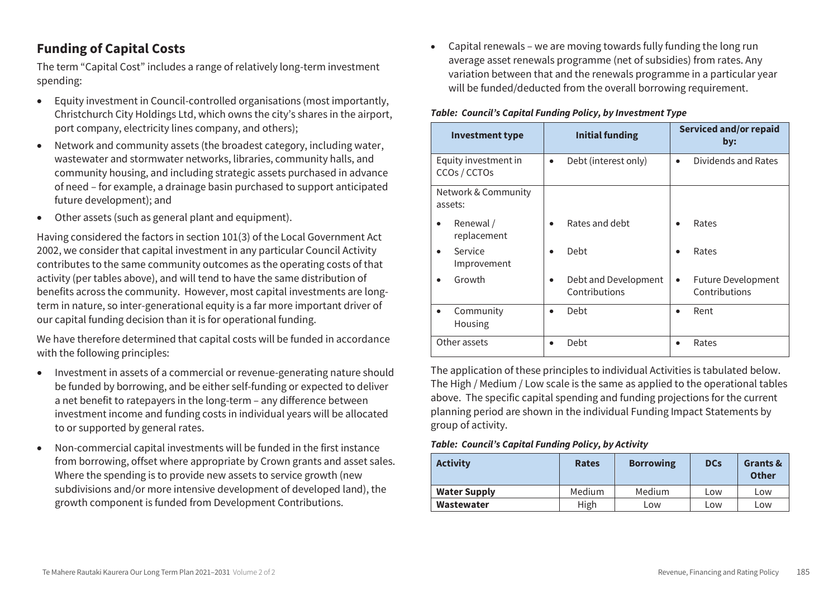# **Funding of Capital Costs**

The term "Capital Cost" includes a range of relatively long-term investment spending:

- Equity investment in Council-controlled organisations (most importantly, Christchurch City Holdings Ltd, which owns the city's shares in the airport, port company, electricity lines company, and others);
- Network and community assets (the broadest category, including water, wastewater and stormwater networks, libraries, community halls, and community housing, and including strategic assets purchased in advance of need – for example, a drainage basin purchased to support anticipated future development); and
- Other assets (such as general plant and equipment).

Having considered the factors in section 101(3) of the Local Government Act 2002, we consider that capital investment in any particular Council Activity contributes to the same community outcomes as the operating costs of that activity (per tables above), and will tend to have the same distribution of benefits across the community. However, most capital investments are longterm in nature, so inter-generational equity is a far more important driver of our capital funding decision than it is for operational funding.

We have therefore determined that capital costs will be funded in accordance with the following principles:

- Investment in assets of a commercial or revenue-generating nature should be funded by borrowing, and be either self-funding or expected to deliver a net benefit to ratepayers in the long-term – any difference between investment income and funding costs in individual years will be allocated to or supported by general rates.
- Non-commercial capital investments will be funded in the first instance from borrowing, offset where appropriate by Crown grants and asset sales. Where the spending is to provide new assets to service growth (new subdivisions and/or more intensive development of developed land), the growth component is funded from Development Contributions.

 Capital renewals – we are moving towards fully funding the long run average asset renewals programme (net of subsidies) from rates. Any variation between that and the renewals programme in a particular year will be funded/deducted from the overall borrowing requirement.

#### *Table: Council's Capital Funding Policy, by Investment Type*

| <b>Investment type</b>               | <b>Initial funding</b>                | <b>Serviced and/or repaid</b><br>by:            |
|--------------------------------------|---------------------------------------|-------------------------------------------------|
| Equity investment in<br>CCOs / CCTOs | Debt (interest only)                  | Dividends and Rates                             |
| Network & Community<br>assets:       |                                       |                                                 |
| Renewal /<br>٠<br>replacement        | Rates and debt                        | Rates                                           |
| Service<br>Improvement               | Debt                                  | Rates                                           |
| Growth                               | Debt and Development<br>Contributions | <b>Future Development</b><br>٠<br>Contributions |
| Community<br>Housing                 | Debt                                  | Rent                                            |
| Other assets                         | Debt                                  | Rates                                           |

The application of these principles to individual Activities is tabulated below. The High / Medium / Low scale is the same as applied to the operational tables above. The specific capital spending and funding projections for the current planning period are shown in the individual Funding Impact Statements by group of activity.

*Table: Council's Capital Funding Policy, by Activity* 

| <b>Activity</b>     | <b>Rates</b> | <b>Borrowing</b> | <b>DCs</b> | Grants &<br><b>Other</b> |
|---------------------|--------------|------------------|------------|--------------------------|
| <b>Water Supply</b> | Medium       | Medium           | Low        | Low                      |
| Wastewater          | High         | LOW              | Low        | Low                      |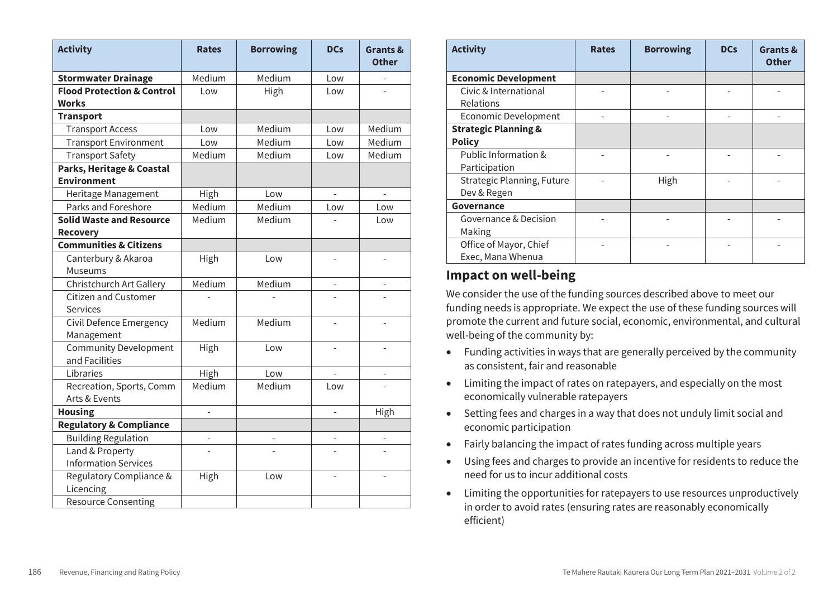| <b>Activity</b>                                    | <b>Rates</b> | <b>Borrowing</b> | <b>DCs</b>               | <b>Grants &amp;</b><br><b>Other</b> |
|----------------------------------------------------|--------------|------------------|--------------------------|-------------------------------------|
| <b>Stormwater Drainage</b>                         | Medium       | Medium           | Low                      |                                     |
| <b>Flood Protection &amp; Control</b><br>Works     | Low          | High             | Low                      |                                     |
| <b>Transport</b>                                   |              |                  |                          |                                     |
| <b>Transport Access</b>                            | Low          | Medium           | Low                      | Medium                              |
| <b>Transport Environment</b>                       | Low          | Medium           | Low                      | Medium                              |
| <b>Transport Safety</b>                            | Medium       | Medium           | Low                      | Medium                              |
| Parks, Heritage & Coastal<br><b>Environment</b>    |              |                  |                          |                                     |
| Heritage Management                                | High         | Low              |                          |                                     |
| Parks and Foreshore                                | Medium       | Medium           | Low                      | Low                                 |
| <b>Solid Waste and Resource</b><br><b>Recovery</b> | Medium       | Medium           |                          | Low                                 |
| <b>Communities &amp; Citizens</b>                  |              |                  |                          |                                     |
| Canterbury & Akaroa<br>Museums                     | High         | Low              |                          |                                     |
| Christchurch Art Gallery                           | Medium       | Medium           |                          |                                     |
| <b>Citizen and Customer</b><br>Services            |              |                  |                          |                                     |
| Civil Defence Emergency<br>Management              | Medium       | Medium           |                          |                                     |
| <b>Community Development</b><br>and Facilities     | High         | Low              | $\overline{a}$           | $\overline{\phantom{a}}$            |
| Libraries                                          | High         | Low              |                          |                                     |
| Recreation, Sports, Comm<br>Arts & Events          | Medium       | Medium           | Low                      |                                     |
| <b>Housing</b>                                     | $\bar{a}$    |                  | $\overline{\phantom{a}}$ | High                                |
| <b>Regulatory &amp; Compliance</b>                 |              |                  |                          |                                     |
| <b>Building Regulation</b>                         |              |                  |                          |                                     |
| Land & Property                                    |              |                  |                          |                                     |
| <b>Information Services</b>                        |              |                  |                          |                                     |
| Regulatory Compliance &<br>Licencing               | High         | Low              |                          |                                     |
| <b>Resource Consenting</b>                         |              |                  |                          |                                     |

| <b>Activity</b>                 | <b>Rates</b> | <b>Borrowing</b> | <b>DCs</b> | Grants &<br><b>Other</b> |
|---------------------------------|--------------|------------------|------------|--------------------------|
| <b>Economic Development</b>     |              |                  |            |                          |
| Civic & International           |              |                  |            |                          |
| Relations                       |              |                  |            |                          |
| <b>Economic Development</b>     |              |                  |            |                          |
| <b>Strategic Planning &amp;</b> |              |                  |            |                          |
| <b>Policy</b>                   |              |                  |            |                          |
| Public Information &            |              |                  |            |                          |
| Participation                   |              |                  |            |                          |
| Strategic Planning, Future      |              | High             |            |                          |
| Dev & Regen                     |              |                  |            |                          |
| Governance                      |              |                  |            |                          |
| Governance & Decision           |              |                  |            |                          |
| Making                          |              |                  |            |                          |
| Office of Mayor, Chief          |              |                  |            |                          |
| Exec, Mana Whenua               |              |                  |            |                          |

# **Impact on well-being Impact on well-being**

We consider the use of the funding sources described above to meet our We consider the use of the funding sources described above to meet our funding needs is appropriate. We expect the use of these funding sources will funding needs is appropriate. We expect the use of these funding sources will promote the current and future social, economic, environmental, and cultural promote the current and future social, economic, environmental, and cultural well-being of the community by: well-being of the community by:

- Funding activities in ways that are generally perceived by the community Funding activities in ways that are generally perceived by the community as consistent, fair and reasonable as consistent, fair and reasonable
- Limiting the impact of rates on ratepayers, and especially on the most Limiting the impact of rates on ratepayers, and especially on the most economically vulnerable ratepayers economically vulnerable ratepayers
- Setting fees and charges in a way that does not unduly limit social and Setting fees and charges in a way that does not unduly limit social and economic participation economic participation
- Fairly balancing the impact of rates funding across multiple years Fairly balancing the impact of rates funding across multiple years
- Using fees and charges to provide an incentive for residents to reduce the Using fees and charges to provide an incentive for residents to reduce the need for us to incur additional costs need for us to incur additional costs
- Limiting the opportunities for ratepayers to use resources unproductively in order to avoid rates (ensuring rates are reasonably economically efficient)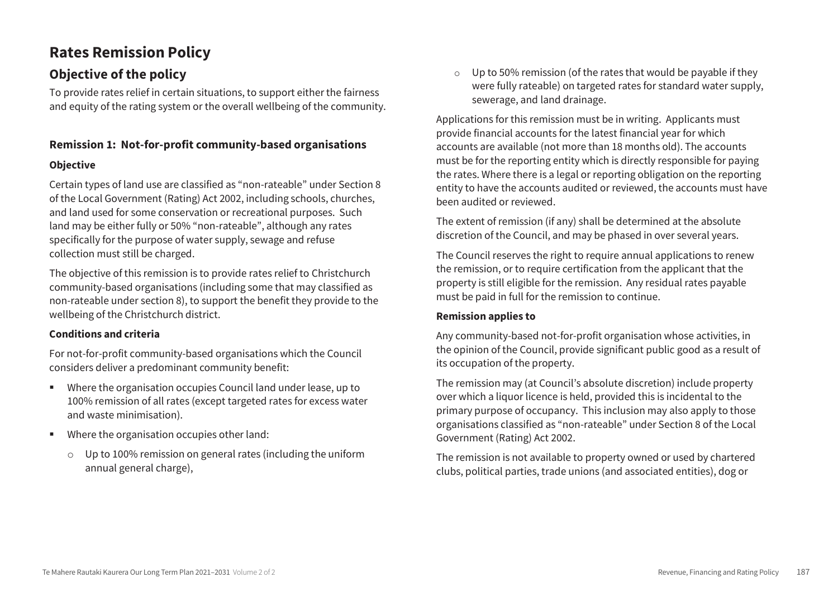# **Rates Remission Policy**

# **Objective of the policy**

To provide rates relief in certain situations, to support either the fairness and equity of the rating system or the overall wellbeing of the community.

# **Remission 1: Not-for-profit community-based organisations**

# **Objective**

Certain types of land use are classified as "non-rateable" under Section 8 of the Local Government (Rating) Act 2002, including schools, churches, and land used for some conservation or recreational purposes. Such land may be either fully or 50% "non-rateable", although any rates specifically for the purpose of water supply, sewage and refuse collection must still be charged.

The objective of this remission is to provide rates relief to Christchurch community-based organisations (including some that may classified as non-rateable under section 8), to support the benefit they provide to the wellbeing of the Christchurch district.

# **Conditions and criteria**

For not-for-profit community-based organisations which the Council considers deliver a predominant community benefit:

- Where the organisation occupies Council land under lease, up to 100% remission of all rates (except targeted rates for excess water and waste minimisation).
- Where the organisation occupies other land:
	- o Up to 100% remission on general rates (including the uniform annual general charge),

 $\circ$  Up to 50% remission (of the rates that would be payable if they were fully rateable) on targeted rates for standard water supply, sewerage, and land drainage.

Applications for this remission must be in writing. Applicants must provide financial accounts for the latest financial year for which accounts are available (not more than 18 months old). The accounts must be for the reporting entity which is directly responsible for paying the rates. Where there is a legal or reporting obligation on the reporting entity to have the accounts audited or reviewed, the accounts must have been audited or reviewed.

The extent of remission (if any) shall be determined at the absolute discretion of the Council, and may be phased in over several years.

The Council reserves the right to require annual applications to renew the remission, or to require certification from the applicant that the property is still eligible for the remission. Any residual rates payable must be paid in full for the remission to continue.

# **Remission applies to**

Any community-based not-for-profit organisation whose activities, in the opinion of the Council, provide significant public good as a result of its occupation of the property.

The remission may (at Council's absolute discretion) include property over which a liquor licence is held, provided this is incidental to the primary purpose of occupancy. This inclusion may also apply to those organisations classified as "non-rateable" under Section 8 of the Local Government (Rating) Act 2002.

The remission is not available to property owned or used by chartered clubs, political parties, trade unions (and associated entities), dog or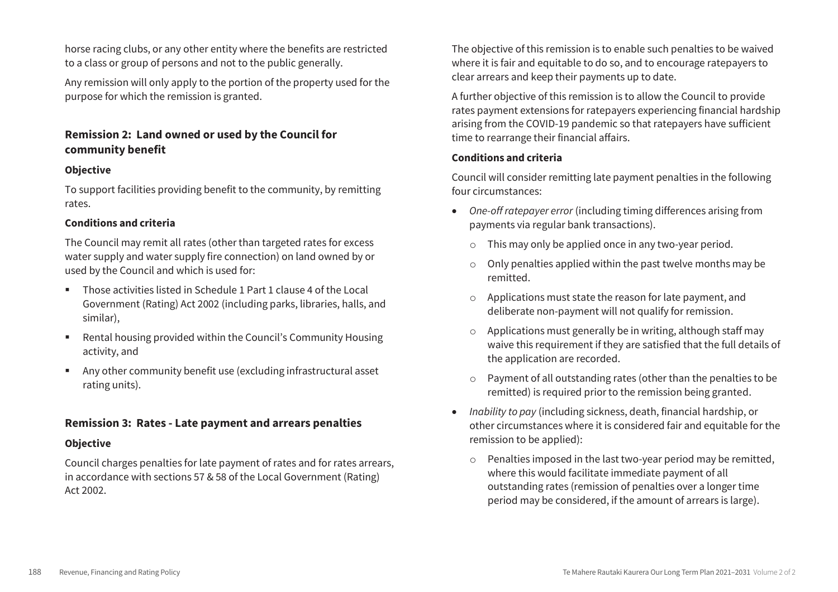horse racing clubs, or any other entity where the benefits are restricted to a class or group of persons and not to the public generally.

Any remission will only apply to the portion of the property used for the purpose for which the remission is granted.

# **Remission 2: Land owned or used by the Council for community benefit**

## **Objective**

To support facilities providing benefit to the community, by remitting rates.

#### **Conditions and criteria**

The Council may remit all rates (other than targeted rates for excess water supply and water supply fire connection) on land owned by or used by the Council and which is used for:

- Those activities listed in Schedule 1 Part 1 clause 4 of the Local Government (Rating) Act 2002 (including parks, libraries, halls, and similar),
- Rental housing provided within the Council's Community Housing activity, and
- Any other community benefit use (excluding infrastructural asset rating units).

# **Remission 3: Rates - Late payment and arrears penalties**

## **Objective**

Council charges penalties for late payment of rates and for rates arrears, in accordance with sections 57 & 58 of the Local Government (Rating) Act 2002.

The objective of this remission is to enable such penalties to be waived where it is fair and equitable to do so, and to encourage ratepayers to clear arrears and keep their payments up to date.

A further objective of this remission is to allow the Council to provide rates payment extensions for ratepayers experiencing financial hardship arising from the COVID-19 pandemic so that ratepayers have sufficient time to rearrange their financial affairs.

#### **Conditions and criteria**

Council will consider remitting late payment penalties in the following four circumstances:

- *One-off ratepayer error* (including timing differences arising from payments via regular bank transactions).
	- o This may only be applied once in any two-year period.
	- $\circ$  Only penalties applied within the past twelve months may be remitted.
	- o Applications must state the reason for late payment, and deliberate non-payment will not qualify for remission.
	- Applications must generally be in writing, although staff may waive this requirement if they are satisfied that the full details of the application are recorded.
	- o Payment of all outstanding rates (other than the penalties to be remitted) is required prior to the remission being granted.
- *Inability to pay* (including sickness, death, financial hardship, or other circumstances where it is considered fair and equitable for the remission to be applied):
	- o Penalties imposed in the last two-year period may be remitted, where this would facilitate immediate payment of all outstanding rates (remission of penalties over a longer time period may be considered, if the amount of arrears is large).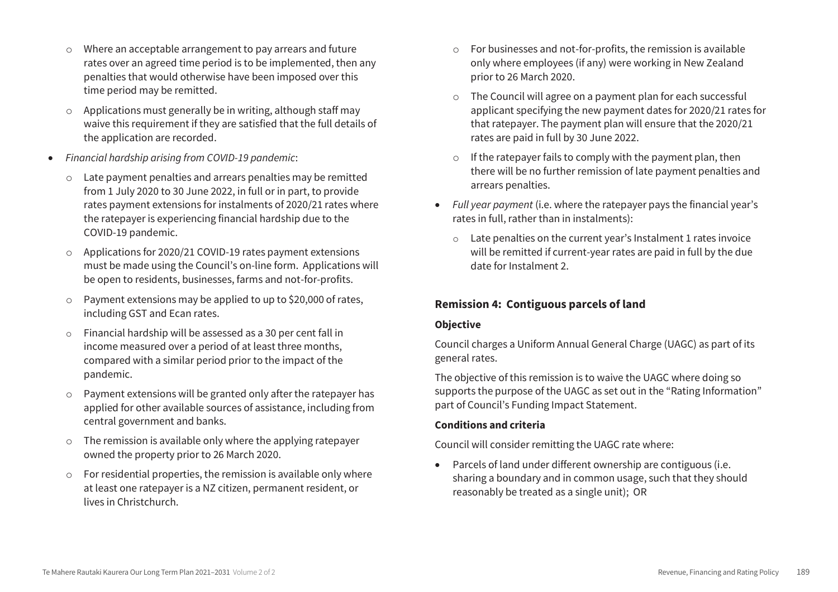- o Where an acceptable arrangement to pay arrears and future rates over an agreed time period is to be implemented, then any penalties that would otherwise have been imposed over this time period may be remitted.
- o Applications must generally be in writing, although staff may waive this requirement if they are satisfied that the full details of the application are recorded.
- *Financial hardship arising from COVID-19 pandemic*:
	- o Late payment penalties and arrears penalties may be remitted from 1 July 2020 to 30 June 2022, in full or in part, to provide rates payment extensions for instalments of 2020/21 rates where the ratepayer is experiencing financial hardship due to the COVID-19 pandemic.
	- o Applications for 2020/21 COVID-19 rates payment extensions must be made using the Council's on-line form. Applications will be open to residents, businesses, farms and not-for-profits.
	- o Payment extensions may be applied to up to \$20,000 of rates, including GST and Ecan rates.
	- o Financial hardship will be assessed as a 30 per cent fall in income measured over a period of at least three months, compared with a similar period prior to the impact of the pandemic.
	- o Payment extensions will be granted only after the ratepayer has applied for other available sources of assistance, including from central government and banks.
	- o The remission is available only where the applying ratepayer owned the property prior to 26 March 2020.
	- o For residential properties, the remission is available only where at least one ratepayer is a NZ citizen, permanent resident, or lives in Christchurch.
- o For businesses and not-for-profits, the remission is available only where employees (if any) were working in New Zealand prior to 26 March 2020.
- o The Council will agree on a payment plan for each successful applicant specifying the new payment dates for 2020/21 rates for that ratepayer. The payment plan will ensure that the 2020/21 rates are paid in full by 30 June 2022.
- o If the ratepayer fails to comply with the payment plan, then there will be no further remission of late payment penalties and arrears penalties.
- *Full year payment* (i.e. where the ratepayer pays the financial year's rates in full, rather than in instalments):
	- o Late penalties on the current year's Instalment 1 rates invoice will be remitted if current-year rates are paid in full by the due date for Instalment 2.

# **Remission 4: Contiguous parcels of land**

## **Objective**

Council charges a Uniform Annual General Charge (UAGC) as part of its general rates.

The objective of this remission is to waive the UAGC where doing so supports the purpose of the UAGC as set out in the "Rating Information" part of Council's Funding Impact Statement.

## **Conditions and criteria**

Council will consider remitting the UAGC rate where:

 Parcels of land under different ownership are contiguous (i.e. sharing a boundary and in common usage, such that they should reasonably be treated as a single unit); OR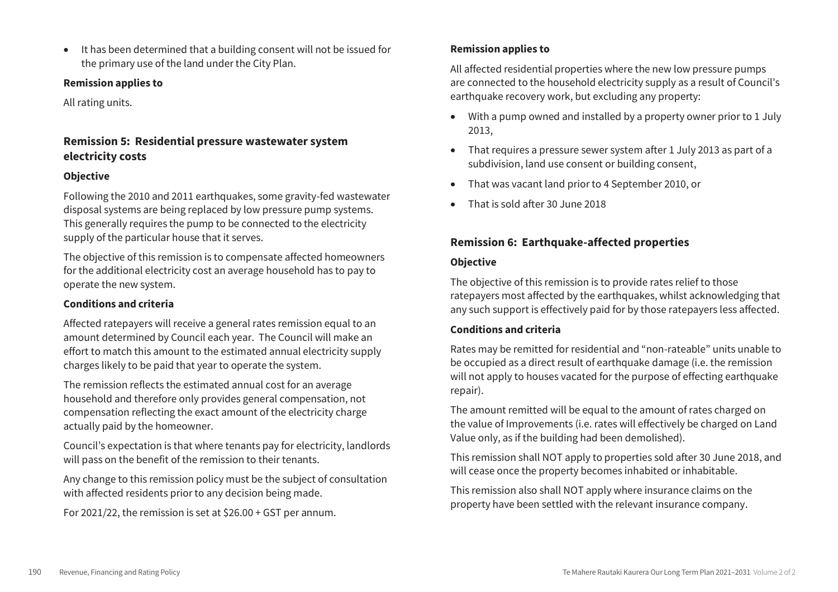It has been determined that a building consent will not be issued for the primary use of the land under the City Plan.

## **Remission applies to**

All rating units.

# **Remission 5: Residential pressure wastewater system electricity costs**

## **Objective**

Following the 2010 and 2011 earthquakes, some gravity-fed wastewater disposal systems are being replaced by low pressure pump systems. This generally requires the pump to be connected to the electricity supply of the particular house that it serves.

The objective of this remission is to compensate affected homeowners for the additional electricity cost an average household has to pay to operate the new system.

## **Conditions and criteria**

Affected ratepayers will receive a general rates remission equal to an amount determined by Council each year. The Council will make an effort to match this amount to the estimated annual electricity supply charges likely to be paid that year to operate the system.

The remission reflects the estimated annual cost for an average household and therefore only provides general compensation, not compensation reflecting the exact amount of the electricity charge actually paid by the homeowner.

Council's expectation is that where tenants pay for electricity, landlords will pass on the benefit of the remission to their tenants.

Any change to this remission policy must be the subject of consultation with affected residents prior to any decision being made.

For 2021/22, the remission is set at \$26.00 + GST per annum.

## **Remission applies to**

All affected residential properties where the new low pressure pumps are connected to the household electricity supply as a result of Council's earthquake recovery work, but excluding any property:

- With a pump owned and installed by a property owner prior to 1 July 2013,
- That requires a pressure sewer system after 1 July 2013 as part of a subdivision, land use consent or building consent,
- That was vacant land prior to 4 September 2010, or
- That is sold after 30 June 2018

# **Remission 6: Earthquake-affected properties**

#### **Objective**

The objective of this remission is to provide rates relief to those ratepayers most affected by the earthquakes, whilst acknowledging that any such support is effectively paid for by those ratepayers less affected.

## **Conditions and criteria**

Rates may be remitted for residential and "non-rateable" units unable to be occupied as a direct result of earthquake damage (i.e. the remission will not apply to houses vacated for the purpose of effecting earthquake repair).

The amount remitted will be equal to the amount of rates charged on the value of Improvements (i.e. rates will effectively be charged on Land Value only, as if the building had been demolished).

This remission shall NOT apply to properties sold after 30 June 2018, and will cease once the property becomes inhabited or inhabitable.

This remission also shall NOT apply where insurance claims on the property have been settled with the relevant insurance company.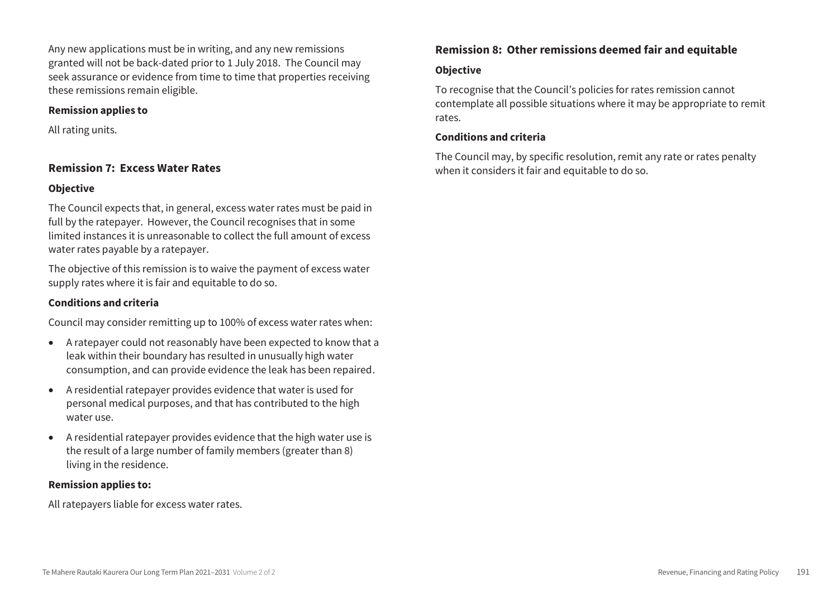Any new applications must be in writing, and any new remissions granted will not be back-dated prior to 1 July 2018. The Council may seek assurance or evidence from time to time that properties receiving these remissions remain eligible.

#### **Remission applies to**

All rating units.

# **Remission 7: Excess Water Rates**

#### **Objective**

The Council expects that, in general, excess water rates must be paid in full by the ratepayer. However, the Council recognises that in some limited instances it is unreasonable to collect the full amount of excess water rates payable by a ratepayer.

The objective of this remission is to waive the payment of excess water supply rates where it is fair and equitable to do so.

## **Conditions and criteria**

Council may consider remitting up to 100% of excess water rates when:

- A ratepayer could not reasonably have been expected to know that a leak within their boundary has resulted in unusually high water consumption, and can provide evidence the leak has been repaired.
- A residential ratepayer provides evidence that water is used for personal medical purposes, and that has contributed to the high water use.
- A residential ratepayer provides evidence that the high water use is the result of a large number of family members (greater than 8) living in the residence.

#### **Remission applies to:**

All ratepayers liable for excess water rates.

# **Remission 8: Other remissions deemed fair and equitable**

## **Objective**

To recognise that the Council's policies for rates remission cannot contemplate all possible situations where it may be appropriate to remit rates.

#### **Conditions and criteria**

The Council may, by specific resolution, remit any rate or rates penalty when it considers it fair and equitable to do so.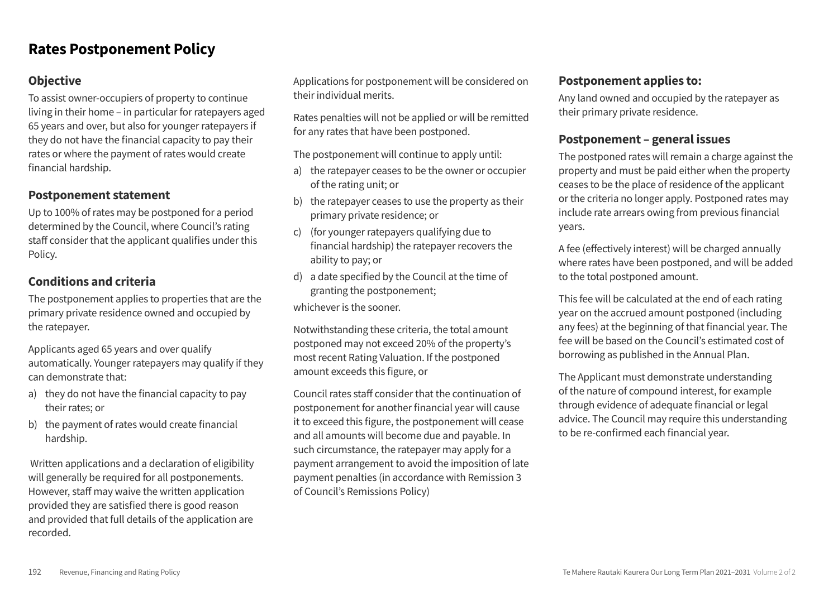# **Rates Postponement Policy**

# **Objective**

To assist owner-occupiers of property to continue living in their home – in particular for ratepayers aged 65 years and over, but also for younger ratepayers if they do not have the financial capacity to pay their rates or where the payment of rates would create financial hardship.

# **Postponement statement**

Up to 100% of rates may be postponed for a period determined by the Council, where Council's rating staff consider that the applicant qualifies under this Policy.

# **Conditions and criteria**

The postponement applies to properties that are the primary private residence owned and occupied by the ratepayer.

Applicants aged 65 years and over qualify automatically. Younger ratepayers may qualify if they can demonstrate that:

- a) they do not have the financial capacity to pay their rates: or
- b) the payment of rates would create financial hardship.

Written applications and a declaration of eligibility will generally be required for all postponements. However, staff may waive the written application provided they are satisfied there is good reason and provided that full details of the application are recorded.

Applications for postponement will be considered on their individual merits.

Rates penalties will not be applied or will be remitted for any rates that have been postponed.

The postponement will continue to apply until:

- a) the ratepayer ceases to be the owner or occupier of the rating unit; or
- b) the ratepayer ceases to use the property as their primary private residence; or
- c) (for younger ratepayers qualifying due to financial hardship) the ratepayer recovers the ability to pay; or
- $d)$  a date specified by the Council at the time of granting the postponement;

whichever is the sooner.

Notwithstanding these criteria, the total amount postponed may not exceed 20% of the property's most recent Rating Valuation. If the postponed amount exceeds this figure, or

Council rates staff consider that the continuation of postponement for another financial year will cause it to exceed this figure, the postponement will cease and all amounts will become due and payable. In such circumstance, the ratepayer may apply for a payment arrangement to avoid the imposition of late payment penalties (in accordance with Remission 3 of Council's Remissions Policy)

# **Postponement applies to:**

Any land owned and occupied by the ratepayer as their primary private residence.

# **Postponement – general issues**

The postponed rates will remain a charge against the property and must be paid either when the property ceases to be the place of residence of the applicant or the criteria no longer apply. Postponed rates may include rate arrears owing from previous financial years.

A fee (effectively interest) will be charged annually where rates have been postponed, and will be added to the total postponed amount.

This fee will be calculated at the end of each rating year on the accrued amount postponed (including any fees) at the beginning of that financial year. The fee will be based on the Council's estimated cost of borrowing as published in the Annual Plan.

The Applicant must demonstrate understanding of the nature of compound interest, for example through evidence of adequate financial or legal advice. The Council may require this understanding to be re-confirmed each financial year.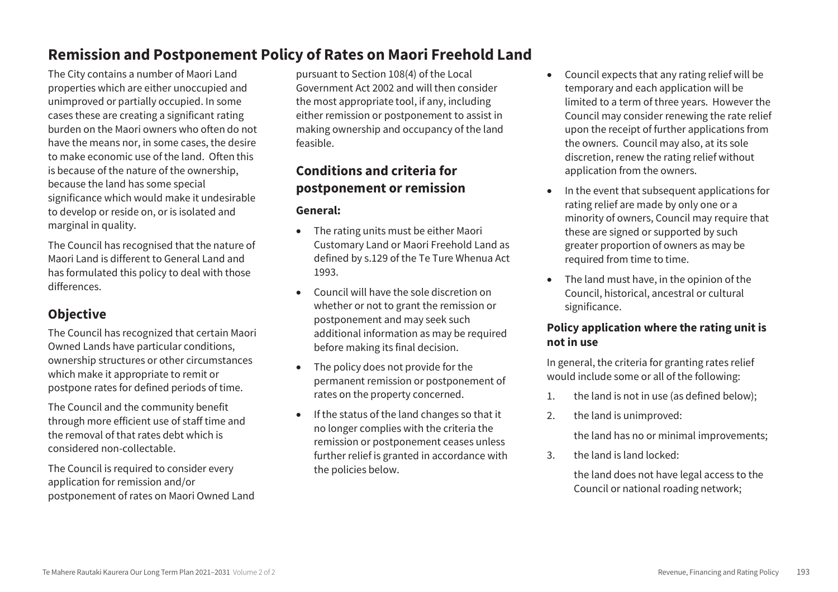# **Remission and Postponement Policy of Rates on Maori Freehold Land**

The City contains a number of Maori Land properties which are either unoccupied and unimproved or partially occupied. In some cases these are creating a significant rating burden on the Maori owners who often do not have the means nor, in some cases, the desire to make economic use of the land. Often this is because of the nature of the ownership, because the land has some special significance which would make it undesirable to develop or reside on, or is isolated and marginal in quality.

The Council has recognised that the nature of Maori Land is different to General Land and has formulated this policy to deal with those differences.

# **Objective**

The Council has recognized that certain Maori Owned Lands have particular conditions, ownership structures or other circumstances which make it appropriate to remit or postpone rates for defined periods of time.

The Council and the community benefit through more efficient use of staff time and the removal of that rates debt which is considered non-collectable.

The Council is required to consider every application for remission and/or postponement of rates on Maori Owned Land

pursuant to Section 108(4) of the Local Government Act 2002 and will then consider the most appropriate tool, if any, including either remission or postponement to assist in making ownership and occupancy of the land feasible.

# **Conditions and criteria for postponement or remission**

## **General:**

- The rating units must be either Maori Customary Land or Maori Freehold Land as defined by s.129 of the Te Ture Whenua Act 1993.
- Council will have the sole discretion on whether or not to grant the remission or postponement and may seek such additional information as may be required before making its final decision.
- The policy does not provide for the permanent remission or postponement of rates on the property concerned.
- If the status of the land changes so that it no longer complies with the criteria the remission or postponement ceases unless further relief is granted in accordance with the policies below.
- Council expects that any rating relief will be temporary and each application will be limited to a term of three years. However the Council may consider renewing the rate relief upon the receipt of further applications from the owners. Council may also, at its sole discretion, renew the rating relief without application from the owners.
- In the event that subsequent applications for rating relief are made by only one or a minority of owners, Council may require that these are signed or supported by such greater proportion of owners as may be required from time to time.
- The land must have, in the opinion of the Council, historical, ancestral or cultural significance.

# **Policy application where the rating unit is not in use**

In general, the criteria for granting rates relief would include some or all of the following:

- 1. the land is not in use (as defined below);
- 2. the land is unimproved:

the land has no or minimal improvements;

3. the land is land locked:

the land does not have legal access to the Council or national roading network;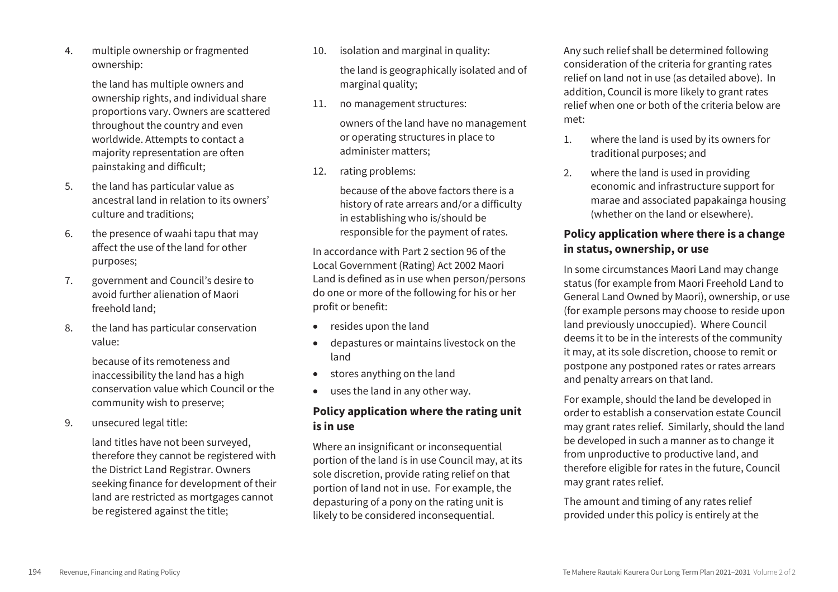4. multiple ownership or fragmented ownership:

> the land has multiple owners and ownership rights, and individual share proportions vary. Owners are scattered throughout the country and even worldwide. Attempts to contact a majority representation are often painstaking and difficult;

- 5. the land has particular value as ancestral land in relation to its owners' culture and traditions;
- 6. the presence of waahi tapu that may affect the use of the land for other purposes;
- 7. government and Council's desire to avoid further alienation of Maori freehold land;
- 8. the land has particular conservation value:

because of its remoteness and inaccessibility the land has a high conservation value which Council or the community wish to preserve;

9. unsecured legal title:

land titles have not been surveyed, therefore they cannot be registered with the District Land Registrar. Owners seeking finance for development of their land are restricted as mortgages cannot be registered against the title;

- 10. isolation and marginal in quality: the land is geographically isolated and of marginal quality;
- 11. no management structures:

owners of the land have no management or operating structures in place to administer matters;

12. rating problems:

because of the above factors there is a history of rate arrears and/or a difficulty in establishing who is/should be responsible for the payment of rates.

In accordance with Part 2 section 96 of the Local Government (Rating) Act 2002 Maori Land is defined as in use when person/persons do one or more of the following for his or her profit or benefit:

- resides upon the land
- depastures or maintains livestock on the land
- stores anything on the land
- uses the land in any other way.

# **Policy application where the rating unit is in use**

Where an insignificant or inconsequential portion of the land is in use Council may, at its sole discretion, provide rating relief on that portion of land not in use. For example, the depasturing of a pony on the rating unit is likely to be considered inconsequential.

Any such relief shall be determined following consideration of the criteria for granting rates relief on land not in use (as detailed above). In addition, Council is more likely to grant rates relief when one or both of the criteria below are met:

- 1. where the land is used by its owners for traditional purposes; and
- 2. where the land is used in providing economic and infrastructure support for marae and associated papakainga housing (whether on the land or elsewhere).

# **Policy application where there is a change in status, ownership, or use**

In some circumstances Maori Land may change status (for example from Maori Freehold Land to General Land Owned by Maori), ownership, or use (for example persons may choose to reside upon land previously unoccupied). Where Council deems it to be in the interests of the community it may, at its sole discretion, choose to remit or postpone any postponed rates or rates arrears and penalty arrears on that land.

For example, should the land be developed in order to establish a conservation estate Council may grant rates relief. Similarly, should the land be developed in such a manner as to change it from unproductive to productive land, and therefore eligible for rates in the future, Council may grant rates relief.

The amount and timing of any rates relief provided under this policy is entirely at the